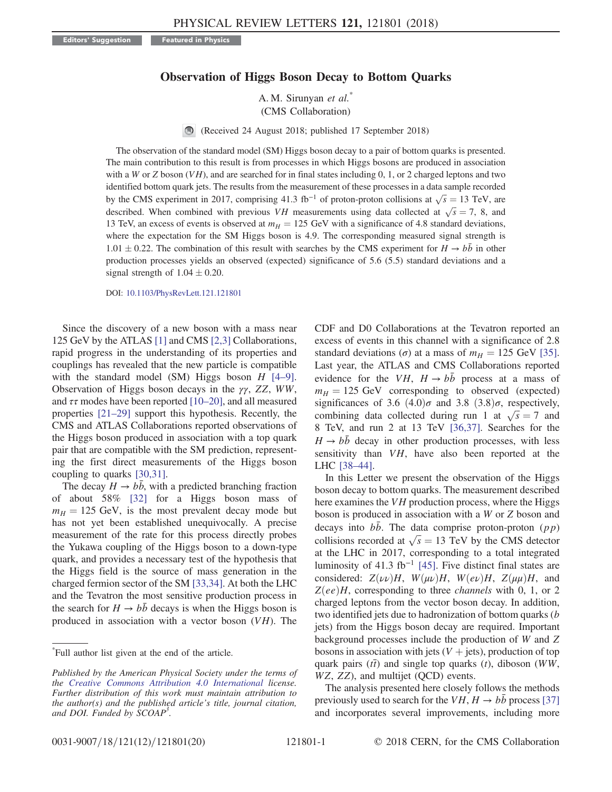## Observation of Higgs Boson Decay to Bottom Quarks

A. M. Sirunyan et al.\* (CMS Collaboration)

 $\bigcirc$ (Received 24 August 2018; published 17 September 2018)

The observation of the standard model (SM) Higgs boson decay to a pair of bottom quarks is presented. The main contribution to this result is from processes in which Higgs bosons are produced in association with a W or Z boson  $(VH)$ , and are searched for in final states including 0, 1, or 2 charged leptons and two identified bottom quark jets. The results from the measurement of these processes in a data sample recorded by the CMS experiment in 2017, comprising 41.3 fb<sup>-1</sup> of proton-proton collisions at  $\sqrt{s} = 13$  TeV, are by the CMS experiment in 2017, comprising 41.5 to  $\cdot$  or proton-proton collisions at  $\sqrt{s} = 13$  TeV, are described. When combined with previous VH measurements using data collected at  $\sqrt{s} = 7$ , 8, and 13 TeV, an excess of events is observed at  $m_H = 125$  GeV with a significance of 4.8 standard deviations, where the expectation for the SM Higgs boson is 4.9. The corresponding measured signal strength is 1.01  $\pm$  0.22. The combination of this result with searches by the CMS experiment for  $H \rightarrow b\bar{b}$  in other production processes yields an observed (expected) significance of 5.6 (5.5) standard deviations and a signal strength of  $1.04 \pm 0.20$ .

DOI: [10.1103/PhysRevLett.121.121801](https://doi.org/10.1103/PhysRevLett.121.121801)

Since the discovery of a new boson with a mass near 125 GeV by the ATLAS [\[1\]](#page-5-0) and CMS [\[2,3\]](#page-5-1) Collaborations, rapid progress in the understanding of its properties and couplings has revealed that the new particle is compatible with the standard model (SM) Higgs boson  $H$  [\[4](#page-5-2)–9]. Observation of Higgs boson decays in the  $\gamma\gamma$ , ZZ, WW, and  $\tau\tau$  modes have been reported [10–[20\],](#page-6-0) and all measured properties [21–[29\]](#page-6-1) support this hypothesis. Recently, the CMS and ATLAS Collaborations reported observations of the Higgs boson produced in association with a top quark pair that are compatible with the SM prediction, representing the first direct measurements of the Higgs boson coupling to quarks [\[30,31\].](#page-6-2)

The decay  $H \rightarrow b\bar{b}$ , with a predicted branching fraction of about 58% [\[32\]](#page-6-3) for a Higgs boson mass of  $m_H = 125$  GeV, is the most prevalent decay mode but has not yet been established unequivocally. A precise measurement of the rate for this process directly probes the Yukawa coupling of the Higgs boson to a down-type quark, and provides a necessary test of the hypothesis that the Higgs field is the source of mass generation in the charged fermion sector of the SM [\[33,34\].](#page-6-4) At both the LHC and the Tevatron the most sensitive production process in the search for  $H \to b\bar{b}$  decays is when the Higgs boson is produced in association with a vector boson  $(VH)$ . The CDF and D0 Collaborations at the Tevatron reported an excess of events in this channel with a significance of 2.8 standard deviations ( $\sigma$ ) at a mass of  $m_H = 125$  GeV [\[35\]](#page-6-5). Last year, the ATLAS and CMS Collaborations reported evidence for the VH,  $H \rightarrow b\bar{b}$  process at a mass of  $m_H = 125$  GeV corresponding to observed (expected) significances of 3.6  $(4.0)$  $\sigma$  and 3.8  $(3.8)\sigma$ , respectively, significances of 3.6 (4.0) $\sigma$  and 3.8 (3.8) $\sigma$ , respectively,<br>combining data collected during run 1 at  $\sqrt{s} = 7$  and 8 TeV, and run 2 at 13 TeV [\[36,37\].](#page-6-6) Searches for the  $H \rightarrow b\bar{b}$  decay in other production processes, with less sensitivity than  $VH$ , have also been reported at the LHC [38–[44\].](#page-6-7)

In this Letter we present the observation of the Higgs boson decay to bottom quarks. The measurement described here examines the *VH* production process, where the Higgs boson is produced in association with a W or Z boson and decays into  $b\bar{b}$ . The data comprise proton-proton  $(pp)$ decays into *bb*. The data comprise proton-proton (*pp*) collisions recorded at  $\sqrt{s} = 13$  TeV by the CMS detector at the LHC in 2017, corresponding to a total integrated luminosity of 41.3 fb<sup>-1</sup> [\[45\]](#page-7-0). Five distinct final states are considered:  $Z(\nu \nu)H$ ,  $W(\mu \nu)H$ ,  $W(e\nu)H$ ,  $Z(\mu \mu)H$ , and  $Z(ee)H$ , corresponding to three *channels* with 0, 1, or 2 charged leptons from the vector boson decay. In addition, two identified jets due to hadronization of bottom quarks (b jets) from the Higgs boson decay are required. Important background processes include the production of W and Z bosons in association with jets  $(V + jets)$ , production of top quark pairs  $(t\bar{t})$  and single top quarks  $(t)$ , diboson (WW, WZ, ZZ), and multijet (QCD) events.

The analysis presented here closely follows the methods previously used to search for the  $VH$ ,  $H \rightarrow b\bar{b}$  process [\[37\]](#page-6-8) and incorporates several improvements, including more

<sup>\*</sup> Full author list given at the end of the article.

Published by the American Physical Society under the terms of the [Creative Commons Attribution 4.0 International](https://creativecommons.org/licenses/by/4.0/) license. Further distribution of this work must maintain attribution to the author(s) and the published article's title, journal citation, and DOI. Funded by SCOAP<sup>3</sup>.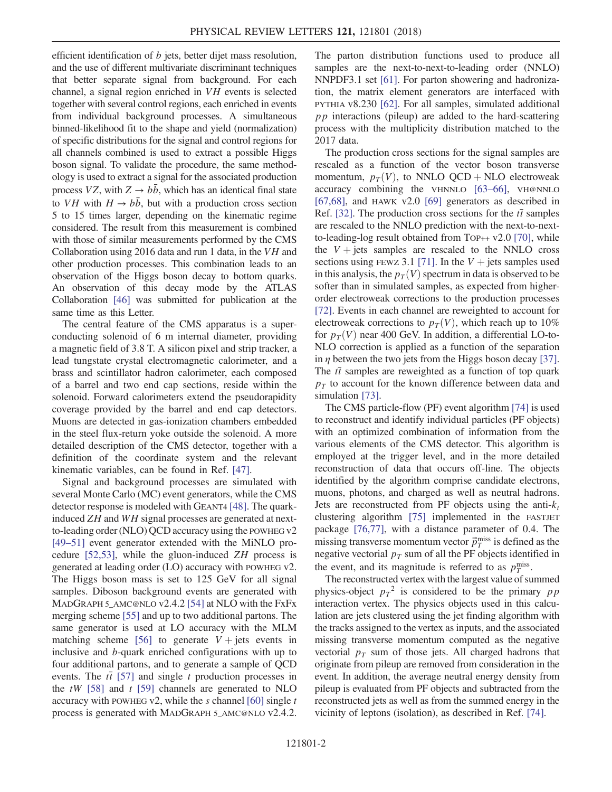efficient identification of b jets, better dijet mass resolution, and the use of different multivariate discriminant techniques that better separate signal from background. For each channel, a signal region enriched in VH events is selected together with several control regions, each enriched in events from individual background processes. A simultaneous binned-likelihood fit to the shape and yield (normalization) of specific distributions for the signal and control regions for all channels combined is used to extract a possible Higgs boson signal. To validate the procedure, the same methodology is used to extract a signal for the associated production process  $VZ$ , with  $Z \rightarrow bb$ , which has an identical final state to VH with  $H \rightarrow b\bar{b}$ , but with a production cross section 5 to 15 times larger, depending on the kinematic regime considered. The result from this measurement is combined with those of similar measurements performed by the CMS Collaboration using 2016 data and run 1 data, in the  $VH$  and other production processes. This combination leads to an observation of the Higgs boson decay to bottom quarks. An observation of this decay mode by the ATLAS Collaboration [\[46\]](#page-7-1) was submitted for publication at the same time as this Letter.

The central feature of the CMS apparatus is a superconducting solenoid of 6 m internal diameter, providing a magnetic field of 3.8 T. A silicon pixel and strip tracker, a lead tungstate crystal electromagnetic calorimeter, and a brass and scintillator hadron calorimeter, each composed of a barrel and two end cap sections, reside within the solenoid. Forward calorimeters extend the pseudorapidity coverage provided by the barrel and end cap detectors. Muons are detected in gas-ionization chambers embedded in the steel flux-return yoke outside the solenoid. A more detailed description of the CMS detector, together with a definition of the coordinate system and the relevant kinematic variables, can be found in Ref. [\[47\].](#page-7-2)

Signal and background processes are simulated with several Monte Carlo (MC) event generators, while the CMS detector response is modeled with GEANT4 [\[48\].](#page-7-3) The quarkinduced ZH and WH signal processes are generated at nextto-leading order (NLO) QCD accuracy using the POWHEG v2 [\[49](#page-7-4)–51] event generator extended with the MiNLO procedure  $[52,53]$ , while the gluon-induced  $ZH$  process is generated at leading order (LO) accuracy with POWHEG v2. The Higgs boson mass is set to 125 GeV for all signal samples. Diboson background events are generated with MADGRAPH 5\_AMC@NLO v2.4.2 [\[54\]](#page-7-6) at NLO with the FxFx merging scheme [\[55\]](#page-7-7) and up to two additional partons. The same generator is used at LO accuracy with the MLM matching scheme [\[56\]](#page-7-8) to generate  $V + j$ ets events in inclusive and b-quark enriched configurations with up to four additional partons, and to generate a sample of QCD events. The  $t\bar{t}$  [\[57\]](#page-7-9) and single t production processes in the  $tW$  [\[58\]](#page-7-10) and  $t$  [\[59\]](#page-7-11) channels are generated to NLO accuracy with POWHEG v2, while the s channel  $[60]$  single t process is generated with MADGRAPH 5\_AMC@NLO v2.4.2. The parton distribution functions used to produce all samples are the next-to-next-to-leading order (NNLO) NNPDF3.1 set [\[61\].](#page-7-13) For parton showering and hadronization, the matrix element generators are interfaced with PYTHIA v8.230 [\[62\].](#page-7-14) For all samples, simulated additional  $pp$  interactions (pileup) are added to the hard-scattering process with the multiplicity distribution matched to the 2017 data.

The production cross sections for the signal samples are rescaled as a function of the vector boson transverse momentum,  $p_T(V)$ , to NNLO QCD + NLO electroweak accuracy combining the VHNNLO [\[63](#page-7-15)–66], VH@NNLO [\[67,68\]](#page-7-16), and HAWK v2.0 [\[69\]](#page-7-17) generators as described in Ref. [\[32\].](#page-6-3) The production cross sections for the  $t\bar{t}$  samples are rescaled to the NNLO prediction with the next-to-nextto-leading-log result obtained from ToP++  $v2.0$  [\[70\]](#page-7-18), while the  $V +$  jets samples are rescaled to the NNLO cross sections using FEWZ 3.1 [\[71\]](#page-7-19). In the  $V +$  jets samples used in this analysis, the  $p_T(V)$  spectrum in data is observed to be softer than in simulated samples, as expected from higherorder electroweak corrections to the production processes [\[72\]](#page-7-20). Events in each channel are reweighted to account for electroweak corrections to  $p_T(V)$ , which reach up to 10% for  $p_T(V)$  near 400 GeV. In addition, a differential LO-to-NLO correction is applied as a function of the separation in  $\eta$  between the two jets from the Higgs boson decay [\[37\]](#page-6-8). The  $t\bar{t}$  samples are reweighted as a function of top quark  $p_T$  to account for the known difference between data and simulation [\[73\]](#page-7-21).

The CMS particle-flow (PF) event algorithm [\[74\]](#page-7-22) is used to reconstruct and identify individual particles (PF objects) with an optimized combination of information from the various elements of the CMS detector. This algorithm is employed at the trigger level, and in the more detailed reconstruction of data that occurs off-line. The objects identified by the algorithm comprise candidate electrons, muons, photons, and charged as well as neutral hadrons. Jets are reconstructed from PF objects using the anti- $k_t$ clustering algorithm [\[75\]](#page-7-23) implemented in the FASTJET package [\[76,77\]](#page-7-24), with a distance parameter of 0.4. The missing transverse momentum vector  $\vec{p}_T^{\text{miss}}$  is defined as the negative vectorial  $p_T$  sum of all the PF objects identified in the event, and its magnitude is referred to as  $p_T^{\text{miss}}$ .

The reconstructed vertex with the largest value of summed physics-object  $p_T^2$  is considered to be the primary pp interaction vertex. The physics objects used in this calculation are jets clustered using the jet finding algorithm with the tracks assigned to the vertex as inputs, and the associated missing transverse momentum computed as the negative vectorial  $p_T$  sum of those jets. All charged hadrons that originate from pileup are removed from consideration in the event. In addition, the average neutral energy density from pileup is evaluated from PF objects and subtracted from the reconstructed jets as well as from the summed energy in the vicinity of leptons (isolation), as described in Ref. [\[74\]](#page-7-22).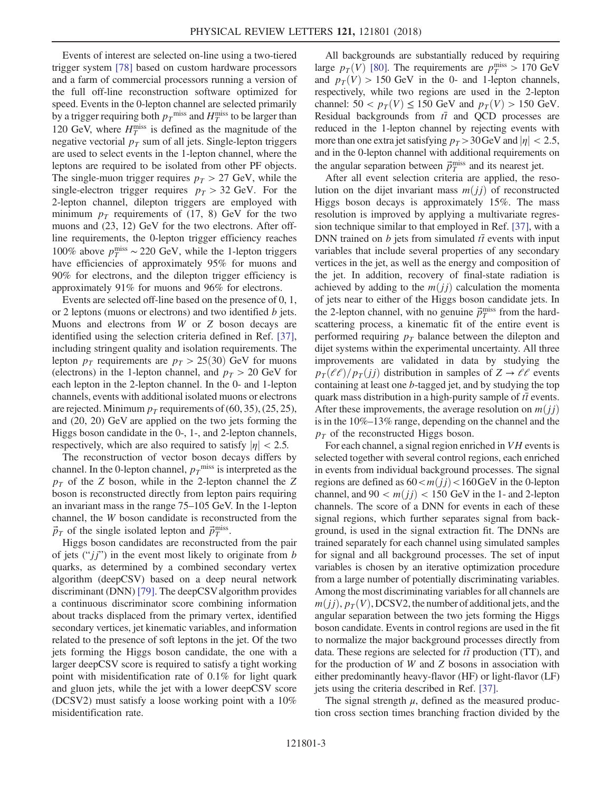Events of interest are selected on-line using a two-tiered trigger system [\[78\]](#page-8-0) based on custom hardware processors and a farm of commercial processors running a version of the full off-line reconstruction software optimized for speed. Events in the 0-lepton channel are selected primarily by a trigger requiring both  $p_T^{\text{miss}}$  and  $H_T^{\text{miss}}$  to be larger than 120 GeV, where  $H_T^{\text{miss}}$  is defined as the magnitude of the negative vectorial  $p<sub>T</sub>$  sum of all jets. Single-lepton triggers are used to select events in the 1-lepton channel, where the leptons are required to be isolated from other PF objects. The single-muon trigger requires  $p_T > 27$  GeV, while the single-electron trigger requires  $p<sub>T</sub> > 32$  GeV. For the 2-lepton channel, dilepton triggers are employed with minimum  $p_T$  requirements of (17, 8) GeV for the two muons and (23, 12) GeV for the two electrons. After offline requirements, the 0-lepton trigger efficiency reaches 100% above  $p_T^{\text{miss}}$  ~ 220 GeV, while the 1-lepton triggers have efficiencies of approximately 95% for muons and 90% for electrons, and the dilepton trigger efficiency is approximately 91% for muons and 96% for electrons.

Events are selected off-line based on the presence of 0, 1, or 2 leptons (muons or electrons) and two identified  $b$  jets. Muons and electrons from  $W$  or  $Z$  boson decays are identified using the selection criteria defined in Ref. [\[37\]](#page-6-8), including stringent quality and isolation requirements. The lepton  $p_T$  requirements are  $p_T > 25(30)$  GeV for muons (electrons) in the 1-lepton channel, and  $p_T > 20$  GeV for each lepton in the 2-lepton channel. In the 0- and 1-lepton channels, events with additional isolated muons or electrons are rejected. Minimum  $p_T$  requirements of (60, 35), (25, 25), and (20, 20) GeV are applied on the two jets forming the Higgs boson candidate in the 0-, 1-, and 2-lepton channels, respectively, which are also required to satisfy  $|\eta| < 2.5$ .

The reconstruction of vector boson decays differs by channel. In the 0-lepton channel,  $p_T^{\text{miss}}$  is interpreted as the  $p_T$  of the Z boson, while in the 2-lepton channel the Z boson is reconstructed directly from lepton pairs requiring an invariant mass in the range 75–105 GeV. In the 1-lepton channel, the W boson candidate is reconstructed from the  $\vec{p}_T$  of the single isolated lepton and  $\vec{p}_T^{\text{miss}}$ .

Higgs boson candidates are reconstructed from the pair of jets ("jj") in the event most likely to originate from  $b$ quarks, as determined by a combined secondary vertex algorithm (deepCSV) based on a deep neural network discriminant (DNN) [\[79\].](#page-8-1) The deepCSValgorithm provides a continuous discriminator score combining information about tracks displaced from the primary vertex, identified secondary vertices, jet kinematic variables, and information related to the presence of soft leptons in the jet. Of the two jets forming the Higgs boson candidate, the one with a larger deepCSV score is required to satisfy a tight working point with misidentification rate of 0.1% for light quark and gluon jets, while the jet with a lower deepCSV score (DCSV2) must satisfy a loose working point with a 10% misidentification rate.

All backgrounds are substantially reduced by requiring large  $p_T(V)$  [\[80\]](#page-8-2). The requirements are  $p_T^{\text{miss}} > 170 \text{ GeV}$ and  $p_T(V) > 150$  GeV in the 0- and 1-lepton channels, respectively, while two regions are used in the 2-lepton channel:  $50 < p_T(V) \le 150$  GeV and  $p_T(V) > 150$  GeV. Residual backgrounds from  $t\bar{t}$  and QCD processes are reduced in the 1-lepton channel by rejecting events with more than one extra jet satisfying  $p_T > 30$  GeV and  $|\eta| < 2.5$ , and in the 0-lepton channel with additional requirements on the angular separation between  $\vec{p}_T^{\text{miss}}$  and its nearest jet.

After all event selection criteria are applied, the resolution on the dijet invariant mass  $m(jj)$  of reconstructed Higgs boson decays is approximately 15%. The mass resolution is improved by applying a multivariate regression technique similar to that employed in Ref. [\[37\]](#page-6-8), with a DNN trained on  $b$  jets from simulated  $t\bar{t}$  events with input variables that include several properties of any secondary vertices in the jet, as well as the energy and composition of the jet. In addition, recovery of final-state radiation is achieved by adding to the  $m(jj)$  calculation the momenta of jets near to either of the Higgs boson candidate jets. In the 2-lepton channel, with no genuine  $\vec{p}_T^{\text{miss}}$  from the hardscattering process, a kinematic fit of the entire event is performed requiring  $p<sub>T</sub>$  balance between the dilepton and dijet systems within the experimental uncertainty. All three improvements are validated in data by studying the  $p_T(\ell\ell)/p_T(jj)$  distribution in samples of  $Z \to \ell\ell$  events containing at least one b-tagged jet, and by studying the top quark mass distribution in a high-purity sample of  $t\bar{t}$  events. After these improvements, the average resolution on  $m(j)$ is in the 10%–13% range, depending on the channel and the  $p_T$  of the reconstructed Higgs boson.

For each channel, a signal region enriched in VH events is selected together with several control regions, each enriched in events from individual background processes. The signal regions are defined as  $60 < m(jj) < 160 \,\text{GeV}$  in the 0-lepton channel, and  $90 < m(jj) < 150$  GeV in the 1- and 2-lepton channels. The score of a DNN for events in each of these signal regions, which further separates signal from background, is used in the signal extraction fit. The DNNs are trained separately for each channel using simulated samples for signal and all background processes. The set of input variables is chosen by an iterative optimization procedure from a large number of potentially discriminating variables. Among the most discriminating variables for all channels are  $m(jj)$ ,  $p_T(V)$ , DCSV2, the number of additional jets, and the angular separation between the two jets forming the Higgs boson candidate. Events in control regions are used in the fit to normalize the major background processes directly from data. These regions are selected for  $t\bar{t}$  production (TT), and for the production of  $W$  and  $Z$  bosons in association with either predominantly heavy-flavor (HF) or light-flavor (LF) jets using the criteria described in Ref. [\[37\]](#page-6-8).

The signal strength  $\mu$ , defined as the measured production cross section times branching fraction divided by the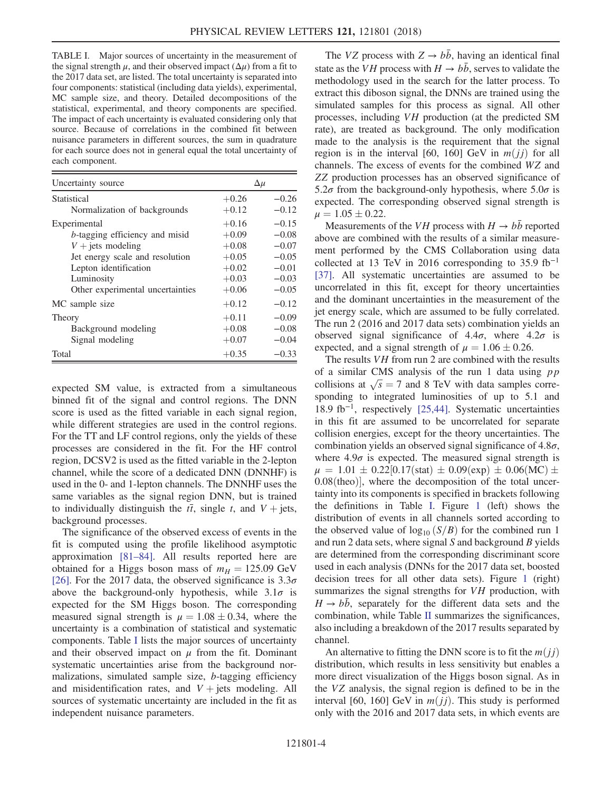<span id="page-3-0"></span>TABLE I. Major sources of uncertainty in the measurement of the signal strength  $\mu$ , and their observed impact ( $\Delta \mu$ ) from a fit to the 2017 data set, are listed. The total uncertainty is separated into four components: statistical (including data yields), experimental, MC sample size, and theory. Detailed decompositions of the statistical, experimental, and theory components are specified. The impact of each uncertainty is evaluated considering only that source. Because of correlations in the combined fit between nuisance parameters in different sources, the sum in quadrature for each source does not in general equal the total uncertainty of each component.

| Uncertainty source               |         | $\Delta \mu$ |
|----------------------------------|---------|--------------|
| Statistical                      | $+0.26$ | $-0.26$      |
| Normalization of backgrounds     | $+0.12$ | $-0.12$      |
| Experimental                     | $+0.16$ | $-0.15$      |
| b-tagging efficiency and misid   | $+0.09$ | $-0.08$      |
| $V +$ jets modeling              | $+0.08$ | $-0.07$      |
| Jet energy scale and resolution  | $+0.05$ | $-0.05$      |
| Lepton identification            | $+0.02$ | $-0.01$      |
| Luminosity                       | $+0.03$ | $-0.03$      |
| Other experimental uncertainties | $+0.06$ | $-0.05$      |
| MC sample size                   | $+0.12$ | $-0.12$      |
| Theory                           | $+0.11$ | $-0.09$      |
| Background modeling              | $+0.08$ | $-0.08$      |
| Signal modeling                  | $+0.07$ | $-0.04$      |
| Total                            | $+0.35$ | $-0.33$      |

expected SM value, is extracted from a simultaneous binned fit of the signal and control regions. The DNN score is used as the fitted variable in each signal region, while different strategies are used in the control regions. For the TT and LF control regions, only the yields of these processes are considered in the fit. For the HF control region, DCSV2 is used as the fitted variable in the 2-lepton channel, while the score of a dedicated DNN (DNNHF) is used in the 0- and 1-lepton channels. The DNNHF uses the same variables as the signal region DNN, but is trained to individually distinguish the  $t\bar{t}$ , single t, and  $V + \text{jets}$ , background processes.

The significance of the observed excess of events in the fit is computed using the profile likelihood asymptotic approximation [81–[84\].](#page-8-3) All results reported here are obtained for a Higgs boson mass of  $m_H = 125.09$  GeV [\[26\]](#page-6-9). For the 2017 data, the observed significance is  $3.3\sigma$ above the background-only hypothesis, while  $3.1\sigma$  is expected for the SM Higgs boson. The corresponding measured signal strength is  $\mu = 1.08 \pm 0.34$ , where the uncertainty is a combination of statistical and systematic components. Table [I](#page-3-0) lists the major sources of uncertainty and their observed impact on  $\mu$  from the fit. Dominant systematic uncertainties arise from the background normalizations, simulated sample size, b-tagging efficiency and misidentification rates, and  $V +$  jets modeling. All sources of systematic uncertainty are included in the fit as independent nuisance parameters.

The VZ process with  $Z \rightarrow b\bar{b}$ , having an identical final state as the VH process with  $H \to b\bar{b}$ , serves to validate the methodology used in the search for the latter process. To extract this diboson signal, the DNNs are trained using the simulated samples for this process as signal. All other processes, including VH production (at the predicted SM rate), are treated as background. The only modification made to the analysis is the requirement that the signal region is in the interval [60, 160] GeV in  $m(jj)$  for all channels. The excess of events for the combined WZ and ZZ production processes has an observed significance of 5.2 $\sigma$  from the background-only hypothesis, where 5.0 $\sigma$  is expected. The corresponding observed signal strength is  $\mu = 1.05 \pm 0.22.$ 

Measurements of the VH process with  $H \to b\bar{b}$  reported above are combined with the results of a similar measurement performed by the CMS Collaboration using data collected at 13 TeV in 2016 corresponding to 35.9 fb<sup>-1</sup> [\[37\]](#page-6-8). All systematic uncertainties are assumed to be uncorrelated in this fit, except for theory uncertainties and the dominant uncertainties in the measurement of the jet energy scale, which are assumed to be fully correlated. The run 2 (2016 and 2017 data sets) combination yields an observed signal significance of  $4.4\sigma$ , where  $4.2\sigma$  is expected, and a signal strength of  $\mu = 1.06 \pm 0.26$ .

The results *VH* from run 2 are combined with the results of a similar CMS analysis of the run 1 data using  $pp$ of a similar CMS analysis of the run 1 data using pp<br>collisions at  $\sqrt{s} = 7$  and 8 TeV with data samples corresponding to integrated luminosities of up to 5.1 and 18.9 fb<sup>−</sup><sup>1</sup>, respectively [\[25,44\]](#page-6-10). Systematic uncertainties in this fit are assumed to be uncorrelated for separate collision energies, except for the theory uncertainties. The combination yields an observed signal significance of  $4.8\sigma$ , where  $4.9\sigma$  is expected. The measured signal strength is  $\mu = 1.01 \pm 0.22[0.17(stat) \pm 0.09(exp) \pm 0.06(MC) \pm$  $0.08$ (theo)], where the decomposition of the total uncertainty into its components is specified in brackets following the definitions in Table [I.](#page-3-0) Figure [1](#page-4-0) (left) shows the distribution of events in all channels sorted according to the observed value of  $log_{10} (S/B)$  for the combined run 1 and run 2 data sets, where signal  $S$  and background  $B$  yields are determined from the corresponding discriminant score used in each analysis (DNNs for the 2017 data set, boosted decision trees for all other data sets). Figure [1](#page-4-0) (right) summarizes the signal strengths for  $VH$  production, with  $H \rightarrow b\bar{b}$ , separately for the different data sets and the combination, while Table [II](#page-4-1) summarizes the significances, also including a breakdown of the 2017 results separated by channel.

An alternative to fitting the DNN score is to fit the  $m(jj)$ distribution, which results in less sensitivity but enables a more direct visualization of the Higgs boson signal. As in the VZ analysis, the signal region is defined to be in the interval [60, 160] GeV in  $m(jj)$ . This study is performed only with the 2016 and 2017 data sets, in which events are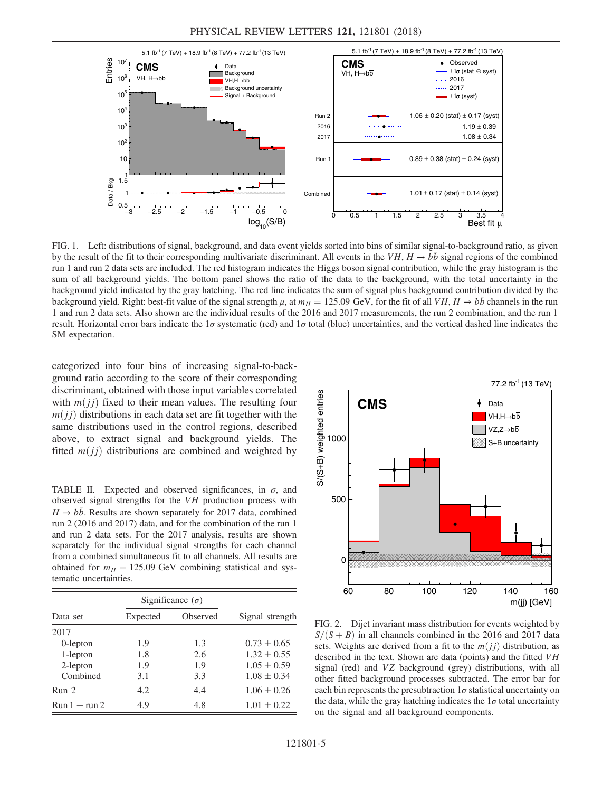<span id="page-4-0"></span>

FIG. 1. Left: distributions of signal, background, and data event yields sorted into bins of similar signal-to-background ratio, as given by the result of the fit to their corresponding multivariate discriminant. All events in the VH,  $H \rightarrow b\bar{b}$  signal regions of the combined run 1 and run 2 data sets are included. The red histogram indicates the Higgs boson signal contribution, while the gray histogram is the sum of all background yields. The bottom panel shows the ratio of the data to the background, with the total uncertainty in the background yield indicated by the gray hatching. The red line indicates the sum of signal plus background contribution divided by the background yield. Right: best-fit value of the signal strength  $\mu$ , at  $m_H = 125.09 \text{ GeV}$ , for the fit of all VH,  $H \rightarrow b\bar{b}$  channels in the run 1 and run 2 data sets. Also shown are the individual results of the 2016 and 2017 measurements, the run 2 combination, and the run 1 result. Horizontal error bars indicate the  $1\sigma$  systematic (red) and  $1\sigma$  total (blue) uncertainties, and the vertical dashed line indicates the SM expectation.

categorized into four bins of increasing signal-to-background ratio according to the score of their corresponding discriminant, obtained with those input variables correlated with  $m(j)$  fixed to their mean values. The resulting four  $m(jj)$  distributions in each data set are fit together with the same distributions used in the control regions, described above, to extract signal and background yields. The

<span id="page-4-1"></span>TABLE II. Expected and observed significances, in  $\sigma$ , and observed signal strengths for the VH production process with  $H \rightarrow b\bar{b}$ . Results are shown separately for 2017 data, combined run 2 (2016 and 2017) data, and for the combination of the run 1 and run 2 data sets. For the 2017 analysis, results are shown separately for the individual signal strengths for each channel from a combined simultaneous fit to all channels. All results are obtained for  $m_H = 125.09$  GeV combining statistical and systematic uncertainties.

|                  | Significance $(\sigma)$ |          |                 |  |
|------------------|-------------------------|----------|-----------------|--|
| Data set         | Expected                | Observed | Signal strength |  |
| 2017             |                         |          |                 |  |
| 0-lepton         | 1.9                     | 1.3      | $0.73 \pm 0.65$ |  |
| 1-lepton         | 1.8                     | 2.6      | $1.32 \pm 0.55$ |  |
| 2-lepton         | 1.9                     | 1.9      | $1.05 \pm 0.59$ |  |
| Combined         | 3.1                     | 3.3      | $1.08 \pm 0.34$ |  |
| Run <sub>2</sub> | 4.2                     | 4.4      | $1.06 \pm 0.26$ |  |
| $Run 1 + run 2$  | 4.9                     | 4.8      | $1.01 \pm 0.22$ |  |

<span id="page-4-2"></span>

FIG. 2. Dijet invariant mass distribution for events weighted by  $S/(S + B)$  in all channels combined in the 2016 and 2017 data sets. Weights are derived from a fit to the  $m(jj)$  distribution, as described in the text. Shown are data (points) and the fitted VH signal (red) and VZ background (grey) distributions, with all other fitted background processes subtracted. The error bar for each bin represents the presubtraction  $1\sigma$  statistical uncertainty on the data, while the gray hatching indicates the  $1\sigma$  total uncertainty on the signal and all background components.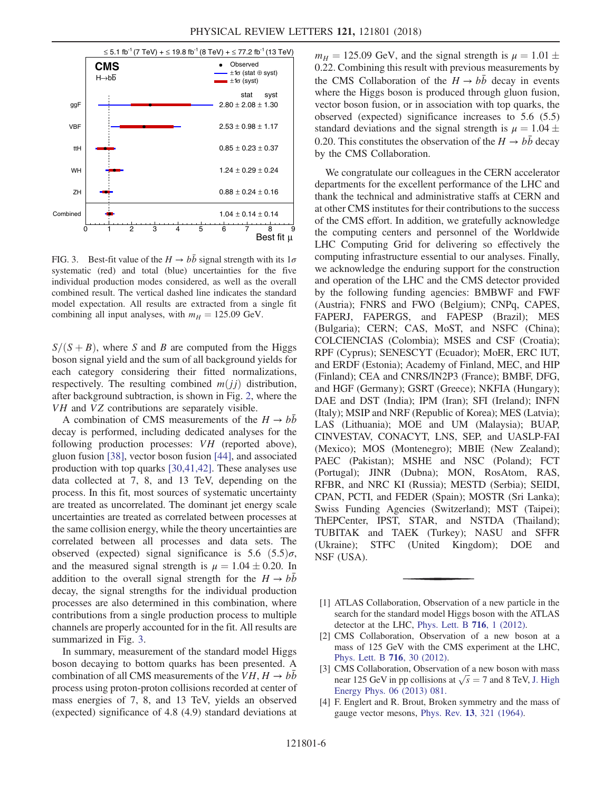<span id="page-5-3"></span>

FIG. 3. Best-fit value of the  $H \rightarrow b\bar{b}$  signal strength with its  $1\sigma$ systematic (red) and total (blue) uncertainties for the five individual production modes considered, as well as the overall combined result. The vertical dashed line indicates the standard model expectation. All results are extracted from a single fit combining all input analyses, with  $m_H = 125.09$  GeV.

 $S/(S+B)$ , where S and B are computed from the Higgs boson signal yield and the sum of all background yields for each category considering their fitted normalizations, respectively. The resulting combined  $m(jj)$  distribution, after background subtraction, is shown in Fig. [2](#page-4-2), where the VH and VZ contributions are separately visible.

A combination of CMS measurements of the  $H \rightarrow bb$ decay is performed, including dedicated analyses for the following production processes: VH (reported above), gluon fusion [\[38\]](#page-6-7), vector boson fusion [\[44\]](#page-7-25), and associated production with top quarks [\[30,41,42\].](#page-6-2) These analyses use data collected at 7, 8, and 13 TeV, depending on the process. In this fit, most sources of systematic uncertainty are treated as uncorrelated. The dominant jet energy scale uncertainties are treated as correlated between processes at the same collision energy, while the theory uncertainties are correlated between all processes and data sets. The observed (expected) signal significance is 5.6  $(5.5)\sigma$ , and the measured signal strength is  $\mu = 1.04 \pm 0.20$ . In addition to the overall signal strength for the  $H \rightarrow b\bar{b}$ decay, the signal strengths for the individual production processes are also determined in this combination, where contributions from a single production process to multiple channels are properly accounted for in the fit. All results are summarized in Fig. [3](#page-5-3).

In summary, measurement of the standard model Higgs boson decaying to bottom quarks has been presented. A combination of all CMS measurements of the VH,  $H \rightarrow b\bar{b}$ process using proton-proton collisions recorded at center of mass energies of 7, 8, and 13 TeV, yields an observed (expected) significance of 4.8 (4.9) standard deviations at

 $m_H = 125.09$  GeV, and the signal strength is  $\mu = 1.01 \pm 1.01$ 0.22. Combining this result with previous measurements by the CMS Collaboration of the  $H \rightarrow b\bar{b}$  decay in events where the Higgs boson is produced through gluon fusion, vector boson fusion, or in association with top quarks, the observed (expected) significance increases to 5.6 (5.5) standard deviations and the signal strength is  $\mu = 1.04 \pm 1.04$ 0.20. This constitutes the observation of the  $H \to b\bar{b}$  decay by the CMS Collaboration.

We congratulate our colleagues in the CERN accelerator departments for the excellent performance of the LHC and thank the technical and administrative staffs at CERN and at other CMS institutes for their contributions to the success of the CMS effort. In addition, we gratefully acknowledge the computing centers and personnel of the Worldwide LHC Computing Grid for delivering so effectively the computing infrastructure essential to our analyses. Finally, we acknowledge the enduring support for the construction and operation of the LHC and the CMS detector provided by the following funding agencies: BMBWF and FWF (Austria); FNRS and FWO (Belgium); CNPq, CAPES, FAPERJ, FAPERGS, and FAPESP (Brazil); MES (Bulgaria); CERN; CAS, MoST, and NSFC (China); COLCIENCIAS (Colombia); MSES and CSF (Croatia); RPF (Cyprus); SENESCYT (Ecuador); MoER, ERC IUT, and ERDF (Estonia); Academy of Finland, MEC, and HIP (Finland); CEA and CNRS/IN2P3 (France); BMBF, DFG, and HGF (Germany); GSRT (Greece); NKFIA (Hungary); DAE and DST (India); IPM (Iran); SFI (Ireland); INFN (Italy); MSIP and NRF (Republic of Korea); MES (Latvia); LAS (Lithuania); MOE and UM (Malaysia); BUAP, CINVESTAV, CONACYT, LNS, SEP, and UASLP-FAI (Mexico); MOS (Montenegro); MBIE (New Zealand); PAEC (Pakistan); MSHE and NSC (Poland); FCT (Portugal); JINR (Dubna); MON, RosAtom, RAS, RFBR, and NRC KI (Russia); MESTD (Serbia); SEIDI, CPAN, PCTI, and FEDER (Spain); MOSTR (Sri Lanka); Swiss Funding Agencies (Switzerland); MST (Taipei); ThEPCenter, IPST, STAR, and NSTDA (Thailand); TUBITAK and TAEK (Turkey); NASU and SFFR (Ukraine); STFC (United Kingdom); DOE and NSF (USA).

- <span id="page-5-0"></span>[1] ATLAS Collaboration, Observation of a new particle in the search for the standard model Higgs boson with the ATLAS detector at the LHC, [Phys. Lett. B](https://doi.org/10.1016/j.physletb.2012.08.020) 716, 1 (2012).
- <span id="page-5-1"></span>[2] CMS Collaboration, Observation of a new boson at a mass of 125 GeV with the CMS experiment at the LHC, [Phys. Lett. B](https://doi.org/10.1016/j.physletb.2012.08.021) 716, 30 (2012).
- [3] CMS Collaboration, Observation of a new boson with mass CMS Collaboration, Observation of a new boson with mass<br>near 125 GeV in pp collisions at  $\sqrt{s} = 7$  and 8 TeV, [J. High](https://doi.org/10.1007/JHEP06(2013)081) [Energy Phys. 06 \(2013\) 081.](https://doi.org/10.1007/JHEP06(2013)081)
- <span id="page-5-2"></span>[4] F. Englert and R. Brout, Broken symmetry and the mass of gauge vector mesons, Phys. Rev. 13[, 321 \(1964\).](https://doi.org/10.1103/PhysRevLett.13.321)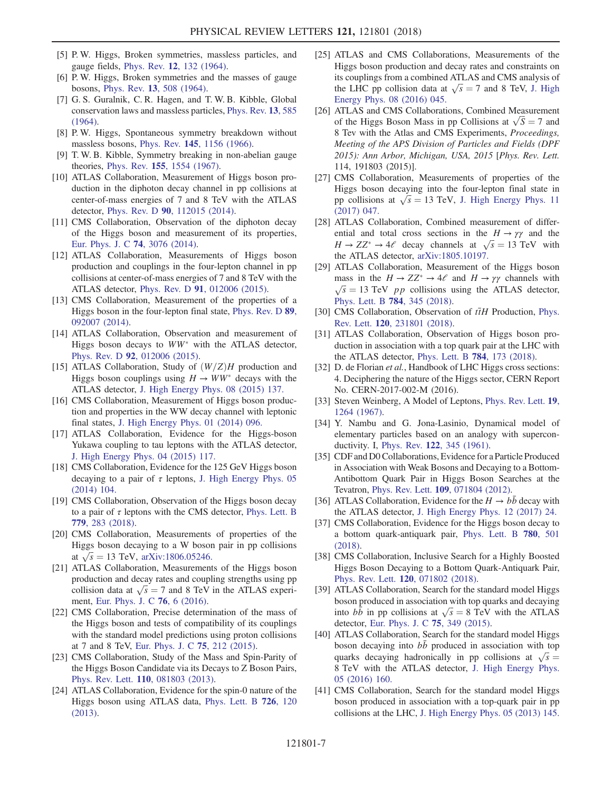- [5] P. W. Higgs, Broken symmetries, massless particles, and gauge fields, Phys. Rev. 12[, 132 \(1964\)](https://doi.org/10.1016/0031-9163(64)91136-9).
- [6] P. W. Higgs, Broken symmetries and the masses of gauge bosons, Phys. Rev. 13[, 508 \(1964\)](https://doi.org/10.1103/PhysRevLett.13.508).
- [7] G. S. Guralnik, C. R. Hagen, and T. W. B. Kibble, Global conservation laws and massless particles, [Phys. Rev.](https://doi.org/10.1103/PhysRevLett.13.585) 13, 585 [\(1964\).](https://doi.org/10.1103/PhysRevLett.13.585)
- [8] P. W. Higgs, Spontaneous symmetry breakdown without massless bosons, Phys. Rev. 145[, 1156 \(1966\).](https://doi.org/10.1103/PhysRev.145.1156)
- [9] T. W. B. Kibble, Symmetry breaking in non-abelian gauge theories, Phys. Rev. 155[, 1554 \(1967\).](https://doi.org/10.1103/PhysRev.155.1554)
- <span id="page-6-0"></span>[10] ATLAS Collaboration, Measurement of Higgs boson production in the diphoton decay channel in pp collisions at center-of-mass energies of 7 and 8 TeV with the ATLAS detector, Phys. Rev. D 90[, 112015 \(2014\)](https://doi.org/10.1103/PhysRevD.90.112015).
- [11] CMS Collaboration, Observation of the diphoton decay of the Higgs boson and measurement of its properties, [Eur. Phys. J. C](https://doi.org/10.1140/epjc/s10052-014-3076-z) 74, 3076 (2014).
- [12] ATLAS Collaboration, Measurements of Higgs boson production and couplings in the four-lepton channel in pp collisions at center-of-mass energies of 7 and 8 TeV with the ATLAS detector, Phys. Rev. D 91[, 012006 \(2015\).](https://doi.org/10.1103/PhysRevD.91.012006)
- [13] CMS Collaboration, Measurement of the properties of a Higgs boson in the four-lepton final state, [Phys. Rev. D](https://doi.org/10.1103/PhysRevD.89.092007) 89, [092007 \(2014\).](https://doi.org/10.1103/PhysRevD.89.092007)
- [14] ATLAS Collaboration, Observation and measurement of Higgs boson decays to  $WW^*$  with the ATLAS detector, Phys. Rev. D 92[, 012006 \(2015\)](https://doi.org/10.1103/PhysRevD.92.012006).
- [15] ATLAS Collaboration, Study of  $(W/Z)H$  production and Higgs boson couplings using  $H \to WW^*$  decays with the ATLAS detector, [J. High Energy Phys. 08 \(2015\) 137.](https://doi.org/10.1007/JHEP08(2015)137)
- [16] CMS Collaboration, Measurement of Higgs boson production and properties in the WW decay channel with leptonic final states, [J. High Energy Phys. 01 \(2014\) 096.](https://doi.org/10.1007/JHEP01(2014)096)
- [17] ATLAS Collaboration, Evidence for the Higgs-boson Yukawa coupling to tau leptons with the ATLAS detector, [J. High Energy Phys. 04 \(2015\) 117.](https://doi.org/10.1007/JHEP04(2015)117)
- [18] CMS Collaboration, Evidence for the 125 GeV Higgs boson decaying to a pair of  $\tau$  leptons, [J. High Energy Phys. 05](https://doi.org/10.1007/JHEP05(2014)104) [\(2014\) 104.](https://doi.org/10.1007/JHEP05(2014)104)
- [19] CMS Collaboration, Observation of the Higgs boson decay to a pair of  $\tau$  leptons with the CMS detector, [Phys. Lett. B](https://doi.org/10.1016/j.physletb.2018.02.004) 779[, 283 \(2018\)](https://doi.org/10.1016/j.physletb.2018.02.004).
- [20] CMS Collaboration, Measurements of properties of the Higgs boson decaying to a W boson pair in pp collisions Higgs boson decaying to a W boson<br>at  $\sqrt{s} = 13$  TeV, [arXiv:1806.05246.](http://arXiv.org/abs/1806.05246)
- <span id="page-6-1"></span>[21] ATLAS Collaboration, Measurements of the Higgs boson production and decay rates and coupling strengths using pp production and decay rates and coupling strengths using pp<br>collision data at  $\sqrt{s} = 7$  and 8 TeV in the ATLAS experiment, [Eur. Phys. J. C](https://doi.org/10.1140/epjc/s10052-015-3769-y) 76, 6 (2016).
- [22] CMS Collaboration, Precise determination of the mass of the Higgs boson and tests of compatibility of its couplings with the standard model predictions using proton collisions at 7 and 8 TeV, [Eur. Phys. J. C](https://doi.org/10.1140/epjc/s10052-015-3351-7) 75, 212 (2015).
- [23] CMS Collaboration, Study of the Mass and Spin-Parity of the Higgs Boson Candidate via its Decays to Z Boson Pairs, Phys. Rev. Lett. 110[, 081803 \(2013\).](https://doi.org/10.1103/PhysRevLett.110.081803)
- [24] ATLAS Collaboration, Evidence for the spin-0 nature of the Higgs boson using ATLAS data, [Phys. Lett. B](https://doi.org/10.1016/j.physletb.2013.08.026) 726, 120 [\(2013\).](https://doi.org/10.1016/j.physletb.2013.08.026)
- <span id="page-6-10"></span>[25] ATLAS and CMS Collaborations, Measurements of the Higgs boson production and decay rates and constraints on its couplings from a combined ATLAS and CMS analysis of Its couplings from a combined ATLAS and CMS analysis of<br>the LHC pp collision data at  $\sqrt{s} = 7$  and 8 TeV, [J. High](https://doi.org/10.1007/JHEP08(2016)045) [Energy Phys. 08 \(2016\) 045.](https://doi.org/10.1007/JHEP08(2016)045)
- <span id="page-6-9"></span>[26] ATLAS and CMS Collaborations, Combined Measurement ATLAS and CMS Collaborations, Combined Measurement<br>of the Higgs Boson Mass in pp Collisions at  $\sqrt{S} = 7$  and 8 Tev with the Atlas and CMS Experiments, Proceedings, Meeting of the APS Division of Particles and Fields (DPF 2015): Ann Arbor, Michigan, USA, 2015 [Phys. Rev. Lett. 114, 191803 (2015)].
- [27] CMS Collaboration, Measurements of properties of the Higgs boson decaying into the four-lepton final state in Higgs boson decaying into the four-lepton final state in<br>pp collisions at  $\sqrt{s} = 13$  TeV, [J. High Energy Phys. 11](https://doi.org/10.1007/JHEP11(2017)047) [\(2017\) 047.](https://doi.org/10.1007/JHEP11(2017)047)
- [28] ATLAS Collaboration, Combined measurement of differential and total cross sections in the  $H \rightarrow \gamma \gamma$  and the ential and total cross sections in the  $H \to \gamma \gamma$  and the  $H \to ZZ^* \to 4\ell$  decay channels at  $\sqrt{s} = 13 \text{ TeV}$  with the ATLAS detector, [arXiv:1805.10197.](http://arXiv.org/abs/1805.10197)
- [29] ATLAS Collaboration, Measurement of the Higgs boson mass in the  $H \to ZZ^* \to 4\ell$  and  $H \to \gamma\gamma$  channels with  $\sqrt{s}$  = 13 TeV *pp* collisions using the ATLAS detector, [Phys. Lett. B](https://doi.org/10.1016/j.physletb.2018.07.050) 784, 345 (2018).
- <span id="page-6-2"></span>[30] CMS Collaboration, Observation of  $t\bar{t}H$  Production, [Phys.](https://doi.org/10.1103/PhysRevLett.120.231801) Rev. Lett. 120[, 231801 \(2018\).](https://doi.org/10.1103/PhysRevLett.120.231801)
- [31] ATLAS Collaboration, Observation of Higgs boson production in association with a top quark pair at the LHC with the ATLAS detector, [Phys. Lett. B](https://doi.org/10.1016/j.physletb.2018.07.035) 784, 173 (2018).
- <span id="page-6-3"></span>[32] D. de Florian et al., Handbook of LHC Higgs cross sections: 4. Deciphering the nature of the Higgs sector, CERN Report No. CERN-2017-002-M (2016).
- <span id="page-6-4"></span>[33] Steven Weinberg, A Model of Leptons, [Phys. Rev. Lett.](https://doi.org/10.1103/PhysRevLett.19.1264) 19, [1264 \(1967\)](https://doi.org/10.1103/PhysRevLett.19.1264).
- [34] Y. Nambu and G. Jona-Lasinio, Dynamical model of elementary particles based on an analogy with superconductivity. I, Phys. Rev. 122[, 345 \(1961\).](https://doi.org/10.1103/PhysRev.122.345)
- <span id="page-6-5"></span>[35] CDF and D0 Collaborations, Evidence for a Particle Produced in Association with Weak Bosons and Decaying to a Bottom-Antibottom Quark Pair in Higgs Boson Searches at the Tevatron, Phys. Rev. Lett. 109[, 071804 \(2012\).](https://doi.org/10.1103/PhysRevLett.109.071804)
- <span id="page-6-6"></span>[36] ATLAS Collaboration, Evidence for the  $H \to b\bar{b}$  decay with the ATLAS detector, [J. High Energy Phys. 12 \(2017\) 24.](https://doi.org/10.1007/JHEP12(2017)024)
- <span id="page-6-8"></span>[37] CMS Collaboration, Evidence for the Higgs boson decay to a bottom quark-antiquark pair, [Phys. Lett. B](https://doi.org/10.1016/j.physletb.2018.02.050) 780, 501 [\(2018\).](https://doi.org/10.1016/j.physletb.2018.02.050)
- <span id="page-6-7"></span>[38] CMS Collaboration, Inclusive Search for a Highly Boosted Higgs Boson Decaying to a Bottom Quark-Antiquark Pair, Phys. Rev. Lett. 120[, 071802 \(2018\).](https://doi.org/10.1103/PhysRevLett.120.071802)
- [39] ATLAS Collaboration, Search for the standard model Higgs boson produced in association with top quarks and decaying boson produced in association with top quarks and decaying<br>into  $b\bar{b}$  in pp collisions at  $\sqrt{s} = 8$  TeV with the ATLAS detector, [Eur. Phys. J. C](https://doi.org/10.1140/epjc/s10052-015-3543-1) 75, 349 (2015).
- [40] ATLAS Collaboration, Search for the standard model Higgs boson decaying into *bb* produced in association with top boson decaying into *bb* produced in association with top quarks decaying hadronically in pp collisions at  $\sqrt{s}$  = 8 TeV with the ATLAS detector, [J. High Energy Phys.](https://doi.org/10.1007/JHEP05(2016)160) [05 \(2016\) 160.](https://doi.org/10.1007/JHEP05(2016)160)
- [41] CMS Collaboration, Search for the standard model Higgs boson produced in association with a top-quark pair in pp collisions at the LHC, [J. High Energy Phys. 05 \(2013\) 145.](https://doi.org/10.1007/JHEP05(2013)145)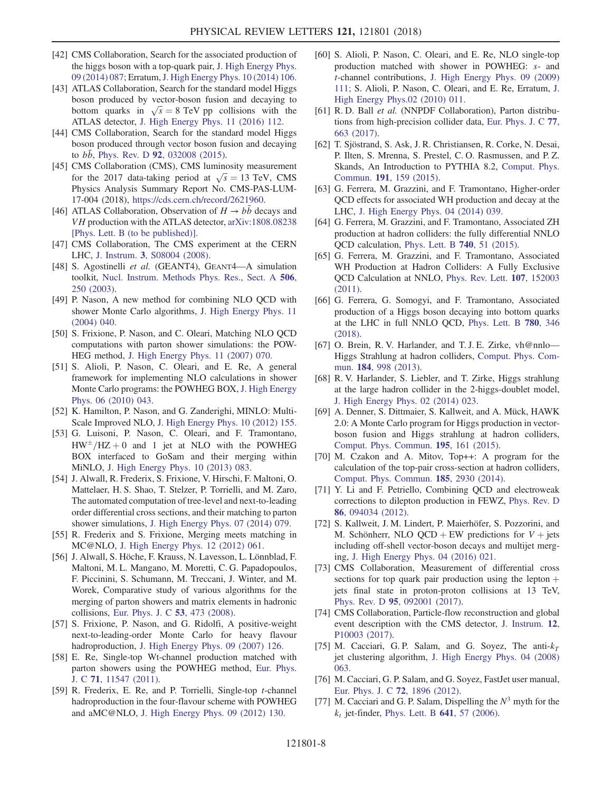- [42] CMS Collaboration, Search for the associated production of the higgs boson with a top-quark pair, [J. High Energy Phys.](https://doi.org/10.1007/JHEP09(2014)087) [09 \(2014\) 087;](https://doi.org/10.1007/JHEP09(2014)087) Erratum,[J. High Energy Phys. 10 \(2014\) 106.](https://doi.org/10.1007/JHEP10(2014)106)
- [43] ATLAS Collaboration, Search for the standard model Higgs boson produced by vector-boson fusion and decaying to boson produced by vector-boson fusion and decaying to bottom quarks in  $\sqrt{s} = 8 \text{ TeV}$  pp collisions with the ATLAS detector, [J. High Energy Phys. 11 \(2016\) 112.](https://doi.org/10.1007/JHEP11(2016)112)
- <span id="page-7-25"></span>[44] CMS Collaboration, Search for the standard model Higgs boson produced through vector boson fusion and decaying to  $b\bar{b}$ , Phys. Rev. D **92**[, 032008 \(2015\)](https://doi.org/10.1103/PhysRevD.92.032008).
- <span id="page-7-0"></span>[45] CMS Collaboration (CMS), CMS luminosity measurement CMS Collaboration (CMS), CMS luminosity measurement<br>for the 2017 data-taking period at  $\sqrt{s} = 13$  TeV, CMS Physics Analysis Summary Report No. CMS-PAS-LUM-17-004 (2018), [https://cds.cern.ch/record/2621960.](https://cds.cern.ch/record/2621960)
- <span id="page-7-1"></span>[46] ATLAS Collaboration, Observation of  $H \to b\bar{b}$  decays and VH production with the ATLAS detector, [arXiv:1808.08238](http://arXiv.org/abs/1808.08238) [\[Phys. Lett. B \(to be published\)\].](http://arXiv.org/abs/1808.08238)
- <span id="page-7-2"></span>[47] CMS Collaboration, The CMS experiment at the CERN LHC, J. Instrum. 3[, S08004 \(2008\).](https://doi.org/10.1088/1748-0221/3/08/S08004)
- <span id="page-7-3"></span>[48] S. Agostinelli et al. (GEANT4), GEANT4—A simulation toolkit, [Nucl. Instrum. Methods Phys. Res., Sect. A](https://doi.org/10.1016/S0168-9002(03)01368-8) 506, [250 \(2003\)](https://doi.org/10.1016/S0168-9002(03)01368-8).
- <span id="page-7-4"></span>[49] P. Nason, A new method for combining NLO QCD with shower Monte Carlo algorithms, [J. High Energy Phys. 11](https://doi.org/10.1088/1126-6708/2004/11/040) [\(2004\) 040.](https://doi.org/10.1088/1126-6708/2004/11/040)
- [50] S. Frixione, P. Nason, and C. Oleari, Matching NLO QCD computations with parton shower simulations: the POW-HEG method, [J. High Energy Phys. 11 \(2007\) 070.](https://doi.org/10.1088/1126-6708/2007/11/070)
- [51] S. Alioli, P. Nason, C. Oleari, and E. Re, A general framework for implementing NLO calculations in shower Monte Carlo programs: the POWHEG BOX, [J. High Energy](https://doi.org/10.1007/JHEP06(2010)043) [Phys. 06 \(2010\) 043.](https://doi.org/10.1007/JHEP06(2010)043)
- <span id="page-7-5"></span>[52] K. Hamilton, P. Nason, and G. Zanderighi, MINLO: Multi-Scale Improved NLO, [J. High Energy Phys. 10 \(2012\) 155.](https://doi.org/10.1007/JHEP10(2012)155)
- [53] G. Luisoni, P. Nason, C. Oleari, and F. Tramontano,  $HW^{\pm}/HZ + 0$  and 1 jet at NLO with the POWHEG BOX interfaced to GoSam and their merging within MiNLO, [J. High Energy Phys. 10 \(2013\) 083.](https://doi.org/10.1007/JHEP10(2013)083)
- <span id="page-7-6"></span>[54] J. Alwall, R. Frederix, S. Frixione, V. Hirschi, F. Maltoni, O. Mattelaer, H. S. Shao, T. Stelzer, P. Torrielli, and M. Zaro, The automated computation of tree-level and next-to-leading order differential cross sections, and their matching to parton shower simulations, [J. High Energy Phys. 07 \(2014\) 079.](https://doi.org/10.1007/JHEP07(2014)079)
- <span id="page-7-7"></span>[55] R. Frederix and S. Frixione, Merging meets matching in MC@NLO, [J. High Energy Phys. 12 \(2012\) 061.](https://doi.org/10.1007/JHEP12(2012)061)
- <span id="page-7-8"></span>[56] J. Alwall, S. Höche, F. Krauss, N. Lavesson, L. Lönnblad, F. Maltoni, M. L. Mangano, M. Moretti, C. G. Papadopoulos, F. Piccinini, S. Schumann, M. Treccani, J. Winter, and M. Worek, Comparative study of various algorithms for the merging of parton showers and matrix elements in hadronic collisions, [Eur. Phys. J. C](https://doi.org/10.1140/epjc/s10052-007-0490-5) 53, 473 (2008).
- <span id="page-7-9"></span>[57] S. Frixione, P. Nason, and G. Ridolfi, A positive-weight next-to-leading-order Monte Carlo for heavy flavour hadroproduction, [J. High Energy Phys. 09 \(2007\) 126.](https://doi.org/10.1088/1126-6708/2007/09/126)
- <span id="page-7-10"></span>[58] E. Re, Single-top Wt-channel production matched with parton showers using the POWHEG method, [Eur. Phys.](https://doi.org/10.1140/epjc/s10052-011-1547-z) J. C 71[, 11547 \(2011\)](https://doi.org/10.1140/epjc/s10052-011-1547-z).
- <span id="page-7-11"></span>[59] R. Frederix, E. Re, and P. Torrielli, Single-top t-channel hadroproduction in the four-flavour scheme with POWHEG and aMC@NLO, [J. High Energy Phys. 09 \(2012\) 130.](https://doi.org/10.1007/JHEP09(2012)130)
- <span id="page-7-12"></span>[60] S. Alioli, P. Nason, C. Oleari, and E. Re, NLO single-top production matched with shower in POWHEG: s- and t-channel contributions, [J. High Energy Phys. 09 \(2009\)](https://doi.org/10.1088/1126-6708/2009/09/111) [111;](https://doi.org/10.1088/1126-6708/2009/09/111) S. Alioli, P. Nason, C. Oleari, and E. Re, Erratum, [J.](https://doi.org/10.1007/JHEP02(2010)011) [High Energy Phys.02 \(2010\) 011.](https://doi.org/10.1007/JHEP02(2010)011)
- <span id="page-7-13"></span>[61] R. D. Ball et al. (NNPDF Collaboration), Parton distributions from high-precision collider data, [Eur. Phys. J. C](https://doi.org/10.1140/epjc/s10052-017-5199-5) 77, [663 \(2017\)](https://doi.org/10.1140/epjc/s10052-017-5199-5).
- <span id="page-7-14"></span>[62] T. Sjöstrand, S. Ask, J. R. Christiansen, R. Corke, N. Desai, P. Ilten, S. Mrenna, S. Prestel, C. O. Rasmussen, and P. Z. Skands, An Introduction to PYTHIA 8.2, [Comput. Phys.](https://doi.org/10.1016/j.cpc.2015.01.024) Commun. 191[, 159 \(2015\)](https://doi.org/10.1016/j.cpc.2015.01.024).
- <span id="page-7-15"></span>[63] G. Ferrera, M. Grazzini, and F. Tramontano, Higher-order QCD effects for associated WH production and decay at the LHC, [J. High Energy Phys. 04 \(2014\) 039.](https://doi.org/10.1007/JHEP04(2014)039)
- [64] G. Ferrera, M. Grazzini, and F. Tramontano, Associated ZH production at hadron colliders: the fully differential NNLO QCD calculation, [Phys. Lett. B](https://doi.org/10.1016/j.physletb.2014.11.040) 740, 51 (2015).
- [65] G. Ferrera, M. Grazzini, and F. Tramontano, Associated WH Production at Hadron Colliders: A Fully Exclusive QCD Calculation at NNLO, [Phys. Rev. Lett.](https://doi.org/10.1103/PhysRevLett.107.152003) 107, 152003  $(2011)$ .
- [66] G. Ferrera, G. Somogyi, and F. Tramontano, Associated production of a Higgs boson decaying into bottom quarks at the LHC in full NNLO QCD, [Phys. Lett. B](https://doi.org/10.1016/j.physletb.2018.03.021) 780, 346 [\(2018\).](https://doi.org/10.1016/j.physletb.2018.03.021)
- <span id="page-7-16"></span>[67] O. Brein, R. V. Harlander, and T. J. E. Zirke, vh@nnlo— Higgs Strahlung at hadron colliders, [Comput. Phys. Com](https://doi.org/10.1016/j.cpc.2012.11.002)mun. 184[, 998 \(2013\).](https://doi.org/10.1016/j.cpc.2012.11.002)
- [68] R. V. Harlander, S. Liebler, and T. Zirke, Higgs strahlung at the large hadron collider in the 2-higgs-doublet model, [J. High Energy Phys. 02 \(2014\) 023.](https://doi.org/10.1007/JHEP02(2014)023)
- <span id="page-7-17"></span>[69] A. Denner, S. Dittmaier, S. Kallweit, and A. Mück, HAWK 2.0: A Monte Carlo program for Higgs production in vectorboson fusion and Higgs strahlung at hadron colliders, [Comput. Phys. Commun.](https://doi.org/10.1016/j.cpc.2015.04.021) 195, 161 (2015).
- <span id="page-7-18"></span>[70] M. Czakon and A. Mitov, Top++: A program for the calculation of the top-pair cross-section at hadron colliders, [Comput. Phys. Commun.](https://doi.org/10.1016/j.cpc.2014.06.021) 185, 2930 (2014).
- <span id="page-7-19"></span>[71] Y. Li and F. Petriello, Combining QCD and electroweak corrections to dilepton production in FEWZ, [Phys. Rev. D](https://doi.org/10.1103/PhysRevD.86.094034) 86[, 094034 \(2012\).](https://doi.org/10.1103/PhysRevD.86.094034)
- <span id="page-7-20"></span>[72] S. Kallweit, J. M. Lindert, P. Maierhöfer, S. Pozzorini, and M. Schönherr, NLO QCD + EW predictions for  $V +$  jets including off-shell vector-boson decays and multijet merging, [J. High Energy Phys. 04 \(2016\) 021.](https://doi.org/10.1007/JHEP04(2016)021)
- <span id="page-7-21"></span>[73] CMS Collaboration, Measurement of differential cross sections for top quark pair production using the lepton  $+$ jets final state in proton-proton collisions at 13 TeV, Phys. Rev. D 95[, 092001 \(2017\)](https://doi.org/10.1103/PhysRevD.95.092001).
- <span id="page-7-22"></span>[74] CMS Collaboration, Particle-flow reconstruction and global event description with the CMS detector, [J. Instrum.](https://doi.org/10.1088/1748-0221/12/10/P10003) 12, [P10003 \(2017\)](https://doi.org/10.1088/1748-0221/12/10/P10003).
- <span id="page-7-23"></span>[75] M. Cacciari, G. P. Salam, and G. Soyez, The anti- $k_T$ jet clustering algorithm, [J. High Energy Phys. 04 \(2008\)](https://doi.org/10.1088/1126-6708/2008/04/063) [063.](https://doi.org/10.1088/1126-6708/2008/04/063)
- <span id="page-7-24"></span>[76] M. Cacciari, G. P. Salam, and G. Soyez, FastJet user manual, [Eur. Phys. J. C](https://doi.org/10.1140/epjc/s10052-012-1896-2) 72, 1896 (2012).
- [77] M. Cacciari and G. P. Salam, Dispelling the  $N<sup>3</sup>$  myth for the  $k_t$  jet-finder, [Phys. Lett. B](https://doi.org/10.1016/j.physletb.2006.08.037) 641, 57 (2006).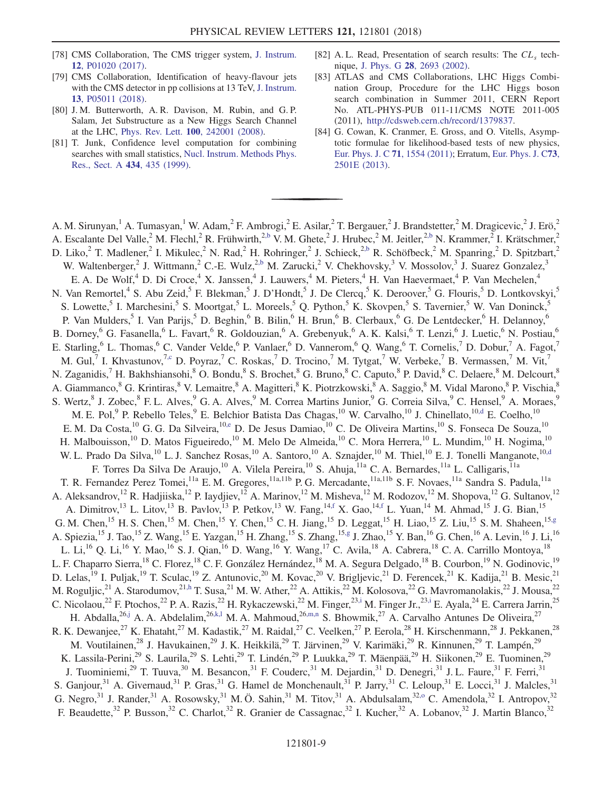- <span id="page-8-0"></span>[78] CMS Collaboration, The CMS trigger system, [J. Instrum.](https://doi.org/10.1088/1748-0221/12/01/P01020) 12[, P01020 \(2017\)](https://doi.org/10.1088/1748-0221/12/01/P01020).
- <span id="page-8-1"></span>[79] CMS Collaboration, Identification of heavy-flavour jets with the CMS detector in pp collisions at 13 TeV, [J. Instrum.](https://doi.org/10.1088/1748-0221/13/05/P05011) 13[, P05011 \(2018\)](https://doi.org/10.1088/1748-0221/13/05/P05011).
- <span id="page-8-2"></span>[80] J. M. Butterworth, A. R. Davison, M. Rubin, and G. P. Salam, Jet Substructure as a New Higgs Search Channel at the LHC, Phys. Rev. Lett. 100[, 242001 \(2008\)](https://doi.org/10.1103/PhysRevLett.100.242001).
- <span id="page-8-3"></span>[81] T. Junk, Confidence level computation for combining searches with small statistics, [Nucl. Instrum. Methods Phys.](https://doi.org/10.1016/S0168-9002(99)00498-2) [Res., Sect. A](https://doi.org/10.1016/S0168-9002(99)00498-2) 434, 435 (1999).
- [82] A. L. Read, Presentation of search results: The  $CL<sub>s</sub>$  technique, J. Phys. G 28[, 2693 \(2002\).](https://doi.org/10.1088/0954-3899/28/10/313)
- [83] ATLAS and CMS Collaborations, LHC Higgs Combination Group, Procedure for the LHC Higgs boson search combination in Summer 2011, CERN Report No. ATL-PHYS-PUB 011-11/CMS NOTE 2011-005 (2011), <http://cdsweb.cern.ch/record/1379837>.
- [84] G. Cowan, K. Cranmer, E. Gross, and O. Vitells, Asymptotic formulae for likelihood-based tests of new physics, [Eur. Phys. J. C](https://doi.org/10.1140/epjc/s10052-011-1554-0) 71, 1554 (2011); Erratum, [Eur. Phys. J. C](https://doi.org/10.1140/epjc/s10052-013-2501-z)73, [2501E \(2013\).](https://doi.org/10.1140/epjc/s10052-013-2501-z)

<span id="page-8-13"></span><span id="page-8-12"></span><span id="page-8-11"></span><span id="page-8-10"></span><span id="page-8-9"></span><span id="page-8-8"></span><span id="page-8-7"></span><span id="page-8-6"></span><span id="page-8-5"></span><span id="page-8-4"></span>A. M. Sirunyan,<sup>1</sup> A. Tumasyan,<sup>1</sup> W. Adam,<sup>2</sup> F. Ambrogi,<sup>2</sup> E. Asilar,<sup>2</sup> T. Bergauer,<sup>2</sup> J. Brandstetter,<sup>2</sup> M. Dragicevic,<sup>2</sup> J. Erö,<sup>2</sup> A. Escalante Del Valle,<sup>2</sup> M. Flechl,<sup>2</sup> R. Frühwirth,<sup>[2,b](#page-18-0)</sup> V. M. Ghete,<sup>2</sup> J. Hrubec,<sup>2</sup> M. Jeitler,<sup>2[,b](#page-18-0)</sup> N. Krammer,<sup>2</sup> I. Krätschmer,<sup>2</sup> D. Liko,<sup>2</sup> T. Madlener,<sup>2</sup> I. Mikulec,<sup>2</sup> N. Rad,<sup>2</sup> H. Rohringer,<sup>2</sup> J. Schieck,<sup>[2,b](#page-18-0)</sup> R. Schöfbeck,<sup>2</sup> M. Spanring,<sup>2</sup> D. Spitzbart,<sup>2</sup> W. Waltenberger,<sup>2</sup> J. Wittmann,<sup>2</sup> C.-E. Wulz,<sup>[2,b](#page-18-0)</sup> M. Zarucki,<sup>2</sup> V. Chekhovsky,<sup>3</sup> V. Mossolov,<sup>3</sup> J. Suarez Gonzalez,<sup>3</sup> E. A. De Wolf,<sup>4</sup> D. Di Croce,<sup>4</sup> X. Janssen,<sup>4</sup> J. Lauwers,<sup>4</sup> M. Pieters,<sup>4</sup> H. Van Haevermaet,<sup>4</sup> P. Van Mechelen,<sup>4</sup> N. Van Remortel,<sup>4</sup> S. Abu Zeid,<sup>5</sup> F. Blekman,<sup>5</sup> J. D'Hondt,<sup>5</sup> J. De Clercq,<sup>5</sup> K. Deroover,<sup>5</sup> G. Flouris,<sup>5</sup> D. Lontkovskyi,<sup>5</sup> S. Lowette,<sup>5</sup> I. Marchesini,<sup>5</sup> S. Moortgat,<sup>5</sup> L. Moreels,<sup>5</sup> Q. Python,<sup>5</sup> K. Skovpen,<sup>5</sup> S. Tavernier,<sup>5</sup> W. Van Doninck,<sup>5</sup> P. Van Mulders,<sup>5</sup> I. Van Parijs,<sup>5</sup> D. Beghin,<sup>6</sup> B. Bilin,<sup>6</sup> H. Brun,<sup>6</sup> B. Clerbaux,<sup>6</sup> G. De Lentdecker,<sup>6</sup> H. Delannoy,<sup>6</sup> B. Dorney, <sup>6</sup> G. Fasanella, <sup>6</sup> L. Favart, <sup>6</sup> R. Goldouzian, <sup>6</sup> A. Grebenyuk, <sup>6</sup> A. K. Kalsi, <sup>6</sup> T. Lenzi, <sup>6</sup> J. Luetic, <sup>6</sup> N. Postiau, <sup>6</sup> E. Starling,  $6$  L. Thomas,  $6$  C. Vander Velde,  $6$  P. Vanlaer,  $6$  D. Vannerom,  $6$  Q. Wang,  $6$  T. Cornelis,  $7$  D. Dobur,  $7$  A. Fagot,  $7$ M. Gul,<sup>7</sup> I. Khvastunov,<sup>[7,c](#page-18-1)</sup> D. Poyraz,<sup>7</sup> C. Roskas,<sup>7</sup> D. Trocino,<sup>7</sup> M. Tytgat,<sup>7</sup> W. Verbeke,<sup>7</sup> B. Vermassen,<sup>7</sup> M. Vit,<sup>7</sup> N. Zaganidis,<sup>7</sup> H. Bakhshiansohi,<sup>8</sup> O. Bondu,<sup>8</sup> S. Brochet,<sup>8</sup> G. Bruno,<sup>8</sup> C. Caputo,<sup>8</sup> P. David,<sup>8</sup> C. Delaere,<sup>8</sup> M. Delcourt,<sup>8</sup> A. Giammanco, <sup>8</sup> G. Krintiras, <sup>8</sup> V. Lemaitre, <sup>8</sup> A. Magitteri, <sup>8</sup> K. Piotrzkowski, <sup>8</sup> A. Saggio, <sup>8</sup> M. Vidal Marono, <sup>8</sup> P. Vischia, <sup>8</sup> S. Wertz, <sup>8</sup> J. Zobec, <sup>8</sup> F. L. Alves, <sup>9</sup> G. A. Alves, <sup>9</sup> M. Correa Martins Junior, <sup>9</sup> G. Correia Silva, <sup>9</sup> C. Hensel, <sup>9</sup> A. Moraes, M. E. Pol,<sup>9</sup> P. Rebello Teles,<sup>9</sup> E. Belchior Batista Das Chagas,<sup>10</sup> W. Carvalho,<sup>10</sup> J. Chinellato,<sup>10[,d](#page-18-2)</sup> E. Coelho,<sup>10</sup> E. M. Da Costa,<sup>10</sup> G. G. Da Silveira,<sup>1[0,e](#page-18-3)</sup> D. De Jesus Damiao,<sup>10</sup> C. De Oliveira Martins,<sup>10</sup> S. Fonseca De Souza,<sup>10</sup> H. Malbouisson,<sup>10</sup> D. Matos Figueiredo,<sup>10</sup> M. Melo De Almeida,<sup>10</sup> C. Mora Herrera,<sup>10</sup> L. Mundim,<sup>10</sup> H. Nogima,<sup>10</sup> W. L. Prado Da Silva,<sup>10</sup> L. J. Sanchez Rosas,<sup>10</sup> A. Santoro,<sup>10</sup> A. Sznajder,<sup>10</sup> M. Thiel,<sup>10</sup> E. J. Tonelli Manganote,<sup>10[,d](#page-18-2)</sup> F. Torres Da Silva De Araujo,<sup>10</sup> A. Vilela Pereira,<sup>10</sup> S. Ahuja,<sup>11a</sup> C. A. Bernardes,<sup>11a</sup> L. Calligaris,<sup>11a</sup> T. R. Fernandez Perez Tomei,<sup>11a</sup> E. M. Gregores,<sup>11a,11b</sup> P. G. Mercadante,<sup>11a,11b</sup> S. F. Novaes,<sup>11a</sup> Sandra S. Padula,<sup>11a</sup> A. Aleksandrov,<sup>12</sup> R. Hadjiiska,<sup>12</sup> P. Iaydjiev,<sup>12</sup> A. Marinov,<sup>12</sup> M. Misheva,<sup>12</sup> M. Rodozov,<sup>12</sup> M. Shopova,<sup>12</sup> G. Sultanov,<sup>12</sup> A. Dimitrov,<sup>13</sup> L. Litov,<sup>13</sup> B. Pavlov,<sup>13</sup> P. Petkov,<sup>13</sup> W. Fang,<sup>14[,f](#page-18-4)</sup> X. Gao,<sup>1[4,f](#page-18-4)</sup> L. Yuan,<sup>14</sup> M. Ahmad,<sup>15</sup> J. G. Bian,<sup>15</sup> G. M. Chen,<sup>15</sup> H. S. Chen,<sup>15</sup> M. Chen,<sup>15</sup> Y. Chen,<sup>15</sup> C. H. Jiang,<sup>15</sup> D. Leggat,<sup>15</sup> H. Liao,<sup>15</sup> Z. Liu,<sup>15</sup> S. M. Shaheen,<sup>15[,g](#page-18-5)</sup> A. Spiezia,<sup>15</sup> J. Tao,<sup>15</sup> Z. Wang,<sup>15</sup> E. Yazgan,<sup>15</sup> H. Zhang,<sup>15</sup> S. Zhang,<sup>1[5,g](#page-18-5)</sup> J. Zhao,<sup>15</sup> Y. Ban,<sup>16</sup> G. Chen,<sup>16</sup> A. Levin,<sup>16</sup> J. Li,<sup>16</sup> L. Li,<sup>16</sup> Q. Li,<sup>16</sup> Y. Mao,<sup>16</sup> S. J. Qian,<sup>16</sup> D. Wang,<sup>16</sup> Y. Wang,<sup>17</sup> C. Avila,<sup>18</sup> A. Cabrera,<sup>18</sup> C. A. Carrillo Montoya,<sup>18</sup> L. F. Chaparro Sierra,<sup>18</sup> C. Florez,<sup>18</sup> C. F. González Hernández,<sup>18</sup> M. A. Segura Delgado,<sup>18</sup> B. Courbon,<sup>19</sup> N. Godinovic,<sup>19</sup> D. Lelas,<sup>19</sup> I. Puljak,<sup>19</sup> T. Sculac,<sup>19</sup> Z. Antunovic,<sup>20</sup> M. Kovac,<sup>20</sup> V. Brigljevic,<sup>21</sup> D. Ferencek,<sup>21</sup> K. Kadija,<sup>21</sup> B. Mesic,<sup>21</sup> M. Roguljic,<sup>21</sup> A. Starodumov,<sup>2[1,h](#page-18-6)</sup> T. Susa,<sup>21</sup> M. W. Ather,<sup>22</sup> A. Attikis,<sup>22</sup> M. Kolosova,<sup>22</sup> G. Mavromanolakis,<sup>22</sup> J. Mousa,<sup>22</sup> C. Nicolaou,<sup>22</sup> F. Ptochos,<sup>22</sup> P. A. Razis,<sup>22</sup> H. Rykaczewski,<sup>22</sup> M. Finger,<sup>2[3,i](#page-18-7)</sup> M. Finger Jr.,<sup>23[,i](#page-18-7)</sup> E. Ayala,<sup>24</sup> E. Carrera Jarrin,<sup>25</sup> H. Abdalla,<sup>26[,j](#page-18-8)</sup> A. A. Abdelalim,<sup>2[6,k,l](#page-18-9)</sup> M. A. Mahmoud,<sup>26[,m,n](#page-18-10)</sup> S. Bhowmik,<sup>27</sup> A. Carvalho Antunes De Oliveira,<sup>27</sup> R. K. Dewanjee,<sup>27</sup> K. Ehataht,<sup>27</sup> M. Kadastik,<sup>27</sup> M. Raidal,<sup>27</sup> C. Veelken,<sup>27</sup> P. Eerola,<sup>28</sup> H. Kirschenmann,<sup>28</sup> J. Pekkanen,<sup>28</sup> M. Voutilainen,<sup>28</sup> J. Havukainen,<sup>29</sup> J. K. Heikkilä,<sup>29</sup> T. Järvinen,<sup>29</sup> V. Karimäki,<sup>29</sup> R. Kinnunen,<sup>29</sup> T. Lampén,<sup>29</sup> K. Lassila-Perini,<sup>29</sup> S. Laurila,<sup>29</sup> S. Lehti,<sup>29</sup> T. Lindén,<sup>29</sup> P. Luukka,<sup>29</sup> T. Mäenpää,<sup>29</sup> H. Siikonen,<sup>29</sup> E. Tuominen,<sup>29</sup> J. Tuominiemi,<sup>29</sup> T. Tuuva,<sup>30</sup> M. Besancon,<sup>31</sup> F. Couderc,<sup>31</sup> M. Dejardin,<sup>31</sup> D. Denegri,<sup>31</sup> J. L. Faure,<sup>31</sup> F. Ferri,<sup>31</sup> S. Ganjour,<sup>31</sup> A. Givernaud,<sup>31</sup> P. Gras,<sup>31</sup> G. Hamel de Monchenault,<sup>31</sup> P. Jarry,<sup>31</sup> C. Leloup,<sup>31</sup> E. Locci,<sup>31</sup> J. Malcles,<sup>31</sup> G. Negro, $31$  J. Rander, $31$  A. Rosowsky, $31$  M. Ö. Sahin, $31$  M. Titov, $31$  A. Abdulsalam, $32,0$  C. Amendola, $32$  I. Antropov, $32$ F. Beaudette,<sup>32</sup> P. Busson,<sup>32</sup> C. Charlot,<sup>32</sup> R. Granier de Cassagnac,<sup>32</sup> I. Kucher,<sup>32</sup> A. Lobanov,<sup>32</sup> J. Martin Blanco,<sup>32</sup>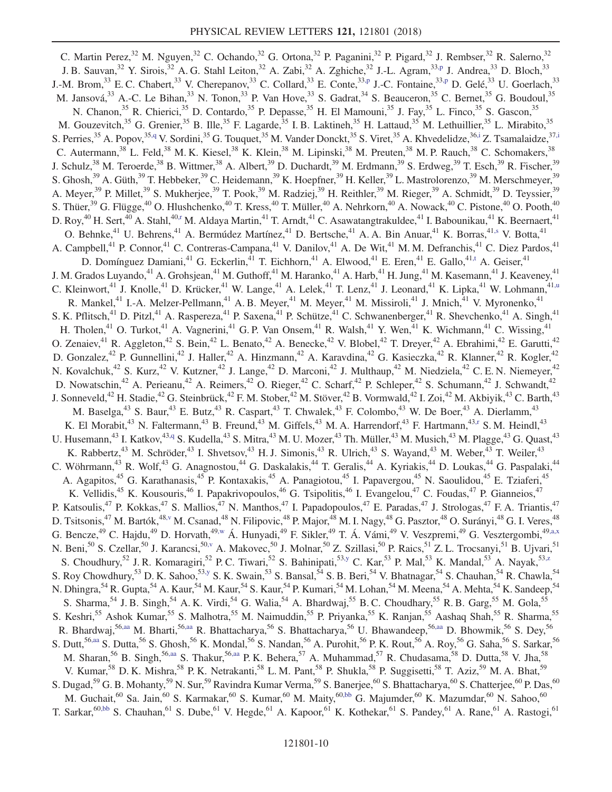<span id="page-9-11"></span><span id="page-9-10"></span><span id="page-9-9"></span><span id="page-9-8"></span><span id="page-9-7"></span><span id="page-9-6"></span><span id="page-9-5"></span><span id="page-9-4"></span><span id="page-9-3"></span><span id="page-9-2"></span><span id="page-9-1"></span><span id="page-9-0"></span>C. Martin Perez,<sup>32</sup> M. Nguyen,<sup>32</sup> C. Ochando,<sup>32</sup> G. Ortona,<sup>32</sup> P. Paganini,<sup>32</sup> P. Pigard,<sup>32</sup> J. Rembser,<sup>32</sup> R. Salerno,<sup>32</sup> J. B. Sauvan,<sup>32</sup> Y. Sirois,<sup>32</sup> A. G. Stahl Leiton,<sup>32</sup> A. Zabi,<sup>32</sup> A. Zghiche,<sup>32</sup> J.-L. Agram,<sup>3[3,p](#page-18-12)</sup> J. Andrea,<sup>33</sup> D. Bloch,<sup>33</sup> J.-M. Brom,<sup>33</sup> E.C. Chabert,<sup>33</sup> V. Cherepanov,<sup>33</sup> C. Collard,<sup>33</sup> E. Conte,<sup>33[,p](#page-18-12)</sup> J.-C. Fontaine,<sup>3[3,p](#page-18-12)</sup> D. Gelé,<sup>33</sup> U. Goerlach,<sup>33</sup> M. Jansová,<sup>33</sup> A.-C. Le Bihan,<sup>33</sup> N. Tonon,<sup>33</sup> P. Van Hove,<sup>33</sup> S. Gadrat,<sup>34</sup> S. Beauceron,<sup>35</sup> C. Bernet,<sup>35</sup> G. Boudoul,<sup>35</sup> N. Chanon,<sup>35</sup> R. Chierici,<sup>35</sup> D. Contardo,<sup>35</sup> P. Depasse,<sup>35</sup> H. El Mamouni,<sup>35</sup> J. Fay,<sup>35</sup> L. Finco,<sup>35</sup> S. Gascon,<sup>35</sup> M. Gouzevitch,<sup>35</sup> G. Grenier,<sup>35</sup> B. Ille,<sup>35</sup> F. Lagarde,<sup>35</sup> I. B. Laktineh,<sup>35</sup> H. Lattaud,<sup>35</sup> M. Lethuillier,<sup>35</sup> L. Mirabito,<sup>35</sup> S. Perries,<sup>35</sup> A. Popov,<sup>3[5,q](#page-18-13)</sup> V. Sordini,<sup>35</sup> G. Touquet,<sup>35</sup> M. Vander Donckt,<sup>35</sup> S. Viret,<sup>35</sup> A. Khvedelidze,<sup>3[6,i](#page-18-7)</sup> Z. Tsamalaidze,<sup>3[7,i](#page-18-7)</sup> C. Autermann,<sup>38</sup> L. Feld,<sup>38</sup> M. K. Kiesel,<sup>38</sup> K. Klein,<sup>38</sup> M. Lipinski,<sup>38</sup> M. Preuten,<sup>38</sup> M. P. Rauch,<sup>38</sup> C. Schomakers,<sup>38</sup> J. Schulz,  $38$  M. Teroerde,  $38$  B. Wittmer,  $38$  A. Albert,  $39$  D. Duchardt,  $39$  M. Erdmann,  $39$  S. Erdweg,  $39$  T. Esch,  $39$  R. Fischer,  $39$ S. Ghosh,<sup>39</sup> A. Güth,<sup>39</sup> T. Hebbeker,<sup>39</sup> C. Heidemann,<sup>39</sup> K. Hoepfner,<sup>39</sup> H. Keller,<sup>39</sup> L. Mastrolorenzo,<sup>39</sup> M. Merschmeyer,<sup>39</sup> A. Meyer,<sup>39</sup> P. Millet,<sup>39</sup> S. Mukherjee,<sup>39</sup> T. Pook,<sup>39</sup> M. Radziej,<sup>39</sup> H. Reithler,<sup>39</sup> M. Rieger,<sup>39</sup> A. Schmidt,<sup>39</sup> D. Teyssier,<sup>39</sup> S. Thüer,  $39$  G. Flügge,  $40$  O. Hlushchenko,  $40$  T. Kress,  $40$  T. Müller,  $40$  A. Nehrkorn,  $40$  A. Nowack,  $40$  C. Pistone,  $40$  O. Pooth,  $40$ D. Roy,<sup>40</sup> H. Sert,<sup>40</sup> A. Stahl,<sup>4[0,r](#page-18-14)</sup> M. Aldaya Martin,<sup>41</sup> T. Arndt,<sup>41</sup> C. Asawatangtrakuldee,<sup>41</sup> I. Babounikau,<sup>41</sup> K. Beernaert,<sup>41</sup> O. Behnke,<sup>41</sup> U. Behrens,<sup>41</sup> A. Bermúdez Martínez,<sup>41</sup> D. Bertsche,<sup>41</sup> A. A. Bin Anuar,<sup>41</sup> K. Borras,<sup>4[1,s](#page-18-15)</sup> V. Botta,<sup>41</sup> A. Campbell,<sup>41</sup> P. Connor,<sup>41</sup> C. Contreras-Campana,<sup>41</sup> V. Danilov,<sup>41</sup> A. De Wit,<sup>41</sup> M. M. Defranchis,<sup>41</sup> C. Diez Pardos,<sup>41</sup> D. Domínguez Damiani,<sup>41</sup> G. Eckerlin,<sup>41</sup> T. Eichhorn,<sup>41</sup> A. Elwood,<sup>41</sup> E. Eren,<sup>41</sup> E. Gallo,<sup>41[,t](#page-18-16)</sup> A. Geiser,<sup>41</sup> J. M. Grados Luyando,<sup>41</sup> A. Grohsjean,<sup>41</sup> M. Guthoff,<sup>41</sup> M. Haranko,<sup>41</sup> A. Harb,<sup>41</sup> H. Jung,<sup>41</sup> M. Kasemann,<sup>41</sup> J. Keaveney,<sup>41</sup> C. Kleinwort,<sup>41</sup> J. Knolle,<sup>41</sup> D. Krücker,<sup>41</sup> W. Lange,<sup>41</sup> A. Lelek,<sup>41</sup> T. Lenz,<sup>41</sup> J. Leonard,<sup>41</sup> K. Lipka,<sup>41</sup> W. Lohmann,<sup>41[,u](#page-18-17)</sup> R. Mankel,<sup>41</sup> I.-A. Melzer-Pellmann,<sup>41</sup> A. B. Meyer,<sup>41</sup> M. Meyer,<sup>41</sup> M. Missiroli,<sup>41</sup> J. Mnich,<sup>41</sup> V. Myronenko,<sup>41</sup> S. K. Pflitsch,<sup>41</sup> D. Pitzl,<sup>41</sup> A. Raspereza,<sup>41</sup> P. Saxena,<sup>41</sup> P. Schütze,<sup>41</sup> C. Schwanenberger,<sup>41</sup> R. Shevchenko,<sup>41</sup> A. Singh,<sup>41</sup> H. Tholen,<sup>41</sup> O. Turkot,<sup>41</sup> A. Vagnerini,<sup>41</sup> G. P. Van Onsem,<sup>41</sup> R. Walsh,<sup>41</sup> Y. Wen,<sup>41</sup> K. Wichmann,<sup>41</sup> C. Wissing,<sup>41</sup> O. Zenaiev,<sup>41</sup> R. Aggleton,<sup>42</sup> S. Bein,<sup>42</sup> L. Benato,<sup>42</sup> A. Benecke,<sup>42</sup> V. Blobel,<sup>42</sup> T. Dreyer,<sup>42</sup> A. Ebrahimi,<sup>42</sup> E. Garutti,<sup>42</sup> D. Gonzalez,<sup>42</sup> P. Gunnellini,<sup>42</sup> J. Haller,<sup>42</sup> A. Hinzmann,<sup>42</sup> A. Karavdina,<sup>42</sup> G. Kasieczka,<sup>42</sup> R. Klanner,<sup>42</sup> R. Kogler,<sup>42</sup> N. Kovalchuk,<sup>42</sup> S. Kurz,<sup>42</sup> V. Kutzner,<sup>42</sup> J. Lange,<sup>42</sup> D. Marconi,<sup>42</sup> J. Multhaup,<sup>42</sup> M. Niedziela,<sup>42</sup> C. E. N. Niemeyer,<sup>42</sup> D. Nowatschin,<sup>42</sup> A. Perieanu,<sup>42</sup> A. Reimers,<sup>42</sup> O. Rieger,<sup>42</sup> C. Scharf,<sup>42</sup> P. Schleper,<sup>42</sup> S. Schumann,<sup>42</sup> J. Schwandt,<sup>42</sup> J. Sonneveld,<sup>42</sup> H. Stadie,<sup>42</sup> G. Steinbrück,<sup>42</sup> F. M. Stober,<sup>42</sup> M. Stöver,<sup>42</sup> B. Vormwald,<sup>42</sup> I. Zoi,<sup>42</sup> M. Akbiyik,<sup>43</sup> C. Barth,<sup>43</sup> M. Baselga,<sup>43</sup> S. Baur,<sup>43</sup> E. Butz,<sup>43</sup> R. Caspart,<sup>43</sup> T. Chwalek,<sup>43</sup> F. Colombo,<sup>43</sup> W. De Boer,<sup>43</sup> A. Dierlamm,<sup>43</sup> K. El Morabit,<sup>43</sup> N. Faltermann,<sup>43</sup> B. Freund,<sup>43</sup> M. Giffels,<sup>43</sup> M. A. Harrendorf,<sup>43</sup> F. Hartmann,<sup>43[,r](#page-18-14)</sup> S. M. Heindl,<sup>43</sup> U. Husemann,<sup>43</sup> I. Katkov,<sup>4[3,q](#page-18-13)</sup> S. Kudella,<sup>43</sup> S. Mitra,<sup>43</sup> M. U. Mozer,<sup>43</sup> Th. Müller,<sup>43</sup> M. Musich,<sup>43</sup> M. Plagge,<sup>43</sup> G. Quast,<sup>43</sup> K. Rabbertz,<sup>43</sup> M. Schröder,<sup>43</sup> I. Shvetsov,<sup>43</sup> H. J. Simonis,<sup>43</sup> R. Ulrich,<sup>43</sup> S. Wayand,<sup>43</sup> M. Weber,<sup>43</sup> T. Weiler,<sup>43</sup> C. Wöhrmann,<sup>43</sup> R. Wolf,<sup>43</sup> G. Anagnostou,<sup>44</sup> G. Daskalakis,<sup>44</sup> T. Geralis,<sup>44</sup> A. Kyriakis,<sup>44</sup> D. Loukas,<sup>44</sup> G. Paspalaki,<sup>44</sup> A. Agapitos,<sup>45</sup> G. Karathanasis,<sup>45</sup> P. Kontaxakis,<sup>45</sup> A. Panagiotou,<sup>45</sup> I. Papavergou,<sup>45</sup> N. Saoulidou,<sup>45</sup> E. Tziaferi,<sup>45</sup> K. Vellidis,<sup>45</sup> K. Kousouris,<sup>46</sup> I. Papakrivopoulos,<sup>46</sup> G. Tsipolitis,<sup>46</sup> I. Evangelou,<sup>47</sup> C. Foudas,<sup>47</sup> P. Gianneios,<sup>47</sup> P. Katsoulis,<sup>47</sup> P. Kokkas,<sup>47</sup> S. Mallios,<sup>47</sup> N. Manthos,<sup>47</sup> I. Papadopoulos,<sup>47</sup> E. Paradas,<sup>47</sup> J. Strologas,<sup>47</sup> F. A. Triantis,<sup>47</sup> D. Tsitsonis,<sup>47</sup> M. Bartók,<sup>4[8,v](#page-18-18)</sup> M. Csanad,<sup>48</sup> N. Filipovic,<sup>48</sup> P. Major,<sup>48</sup> M. I. Nagy,<sup>48</sup> G. Pasztor,<sup>48</sup> O. Surányi,<sup>48</sup> G. I. Veres,<sup>48</sup> G. Bencze,<sup>49</sup> C. Hajdu,<sup>49</sup> D. Horvath,<sup>49[,w](#page-18-19)</sup> Á. Hunyadi,<sup>49</sup> F. Sikler,<sup>49</sup> T. Á. Vámi,<sup>49</sup> V. Veszpremi,<sup>49</sup> G. Vesztergombi,<sup>49[,a,x](#page-18-20)</sup> N. Beni,<sup>50</sup> S. Czellar,<sup>50</sup> J. Karancsi,<sup>50[,v](#page-18-18)</sup> A. Makovec,<sup>50</sup> J. Molnar,<sup>50</sup> Z. Szillasi,<sup>50</sup> P. Raics,<sup>51</sup> Z. L. Trocsanyi,<sup>51</sup> B. Ujvari,<sup>51</sup> S. Choudhury,<sup>52</sup> J. R. Komaragiri,<sup>52</sup> P. C. Tiwari,<sup>52</sup> S. Bahinipati,<sup>5[3,y](#page-18-21)</sup> C. Kar,<sup>53</sup> P. Mal,<sup>53</sup> K. Mandal,<sup>53</sup> A. Nayak,<sup>53[,z](#page-18-22)</sup> S. Roy Chowdhury,<sup>53</sup> D. K. Sahoo,<sup>5[3,y](#page-18-21)</sup> S. K. Swain,<sup>53</sup> S. Bansal,<sup>54</sup> S. B. Beri,<sup>54</sup> V. Bhatnagar,<sup>54</sup> S. Chauhan,<sup>54</sup> R. Chawla,<sup>54</sup> N. Dhingra,<sup>54</sup> R. Gupta,<sup>54</sup> A. Kaur,<sup>54</sup> M. Kaur,<sup>54</sup> S. Kaur,<sup>54</sup> P. Kumari,<sup>54</sup> M. Lohan,<sup>54</sup> M. Meena,<sup>54</sup> A. Mehta,<sup>54</sup> K. Sandeep,<sup>54</sup> S. Sharma,<sup>54</sup> J. B. Singh,<sup>54</sup> A. K. Virdi,<sup>54</sup> G. Walia,<sup>54</sup> A. Bhardwaj,<sup>55</sup> B. C. Choudhary,<sup>55</sup> R. B. Garg,<sup>55</sup> M. Gola,<sup>55</sup> S. Keshri,<sup>55</sup> Ashok Kumar,<sup>55</sup> S. Malhotra,<sup>55</sup> M. Naimuddin,<sup>55</sup> P. Priyanka,<sup>55</sup> K. Ranjan,<sup>55</sup> Aashaq Shah,<sup>55</sup> R. Sharma,<sup>55</sup> R. Bhardwaj,<sup>5[6,aa](#page-18-23)</sup> M. Bharti,<sup>56[,aa](#page-18-23)</sup> R. Bhattacharya,<sup>56</sup> S. Bhattacharya,<sup>56</sup> U. Bhawandeep,<sup>56,aa</sup> D. Bhowmik,<sup>56</sup> S. Dey,<sup>56</sup> S. Dutt,<sup>5[6,aa](#page-18-23)</sup> S. Dutta,<sup>56</sup> S. Ghosh,<sup>56</sup> K. Mondal,<sup>56</sup> S. Nandan,<sup>56</sup> A. Purohit,<sup>56</sup> P. K. Rout,<sup>56</sup> A. Roy,<sup>56</sup> G. Saha,<sup>56</sup> S. Sarkar,<sup>56</sup> M. Sharan,<sup>56</sup> B. Singh,<sup>56[,aa](#page-18-23)</sup> S. Thakur,<sup>56,aa</sup> P. K. Behera,<sup>57</sup> A. Muhammad,<sup>57</sup> R. Chudasama,<sup>58</sup> D. Dutta,<sup>58</sup> V. Jha,<sup>58</sup> V. Kumar,<sup>58</sup> D. K. Mishra,<sup>58</sup> P. K. Netrakanti,<sup>58</sup> L. M. Pant,<sup>58</sup> P. Shukla,<sup>58</sup> P. Suggisetti,<sup>58</sup> T. Aziz,<sup>59</sup> M. A. Bhat,<sup>59</sup> S. Dugad,<sup>59</sup> G. B. Mohanty,<sup>59</sup> N. Sur,<sup>59</sup> Ravindra Kumar Verma,<sup>59</sup> S. Banerjee,<sup>60</sup> S. Bhattacharya,<sup>60</sup> S. Chatterjee,<sup>60</sup> P. Das,<sup>60</sup> M. Guchait,<sup>60</sup> Sa. Jain,<sup>60</sup> S. Karmakar,<sup>60</sup> S. Kumar,<sup>60</sup> M. Maity,<sup>6[0,bb](#page-18-24)</sup> G. Majumder,<sup>60</sup> K. Mazumdar,<sup>60</sup> N. Sahoo,<sup>60</sup> T. Sarkar,  $60, b$ b S. Chauhan,  $61$  S. Dube,  $61$  V. Hegde,  $61$  A. Kapoor,  $61$  K. Kothekar,  $61$  S. Pandey,  $61$  A. Rane,  $61$  A. Rastogi,  $61$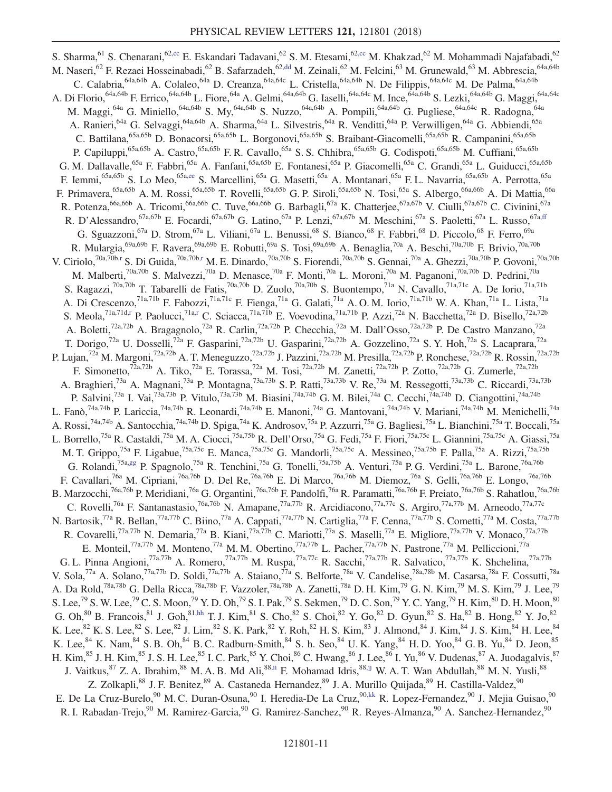<span id="page-10-7"></span><span id="page-10-6"></span><span id="page-10-5"></span><span id="page-10-4"></span><span id="page-10-3"></span><span id="page-10-2"></span><span id="page-10-1"></span><span id="page-10-0"></span>S. Sharma, <sup>61</sup> S. Chenarani, <sup>62[,cc](#page-18-25)</sup> E. Eskandari Tadavani, <sup>62</sup> S. M. Etesami, <sup>6[2,cc](#page-18-25)</sup> M. Khakzad, <sup>62</sup> M. Mohammadi Najafabadi, <sup>62</sup> M. Naseri,<sup>62</sup> F. Rezaei Hosseinabadi,<sup>62</sup> B. Safarzadeh,<sup>62[,dd](#page-18-26)</sup> M. Zeinali,<sup>62</sup> M. Felcini,<sup>63</sup> M. Grunewald,<sup>63</sup> M. Abbrescia,<sup>64a,64b</sup> C. Calabria,<sup>64a,64b</sup> A. Colaleo,<sup>64a</sup> D. Creanza,<sup>64a,64c</sup> L. Cristella,<sup>64a,64b</sup> N. De Filippis,<sup>64a,64c</sup> M. De Palma,<sup>64a,64b</sup> A. Di Florio,  $^{64a,64b}$  F. Errico,  $^{64a,64b}$  L. Fiore,  $^{64a}$  A. Gelmi,  $^{64a,64b}$  G. Iaselli,  $^{64a,64c}$  M. Ince,  $^{64a,64b}$  S. Lezki,  $^{64a,64b}$  G. Maggi,  $^{64a,64c}$ M. Maggi,<sup>64a</sup> G. Miniello,<sup>64a,64b</sup> S. My,<sup>64a,64b</sup> S. Nuzzo,<sup>64a,64b</sup> A. Pompili,<sup>64a,64b</sup> G. Pugliese,<sup>64a,64c</sup> R. Radogna,<sup>64a</sup> A. Ranieri,<sup>64a</sup> G. Selvaggi,<sup>64a,64b</sup> A. Sharma,<sup>64a</sup> L. Silvestris,<sup>64a</sup> R. Venditti,<sup>64a</sup> P. Verwilligen,<sup>64a</sup> G. Abbiendi,<sup>65a</sup> C. Battilana,<sup>65a,65b</sup> D. Bonacorsi,<sup>65a,65b</sup> L. Borgonovi,<sup>65a,65b</sup> S. Braibant-Giacomelli,<sup>65a,65b</sup> R. Campanini,<sup>65a,65b</sup> P. Capiluppi,<sup>65a,65b</sup> A. Castro,<sup>65a,65b</sup> F. R. Cavallo,<sup>65a</sup> S. S. Chhibra,<sup>65a,65b</sup> G. Codispoti,<sup>65a,65b</sup> M. Cuffiani,<sup>65a,65b</sup> G. M. Dallavalle, <sup>65a</sup> F. Fabbri, <sup>65a</sup> A. Fanfani, <sup>65a, 65b</sup> E. Fontanesi, <sup>65a</sup> P. Giacomelli, <sup>65a</sup> C. Grandi, <sup>65a</sup> L. Guiducci, <sup>65a, 65b</sup> F. Iemmi, <sup>65a,65b</sup> S. Lo Meo, <sup>65[a,ee](#page-18-27)</sup> S. Marcellini, <sup>65a</sup> G. Masetti, <sup>65a</sup> A. Montanari, <sup>65a</sup> F. L. Navarria, <sup>65a,65b</sup> A. Perrotta, <sup>65a</sup> F. Primavera,<sup>65a,65b</sup> A. M. Rossi,<sup>65a,65b</sup> T. Rovelli,<sup>65a,65b</sup> G. P. Siroli,<sup>65a,65b</sup> N. Tosi,<sup>65a</sup> S. Albergo,<sup>66a,66b</sup> A. Di Mattia,<sup>66a</sup> R. Potenza,<sup>66a,66b</sup> A. Tricomi,<sup>66a,66b</sup> C. Tuve,<sup>66a,66b</sup> G. Barbagli,<sup>67a</sup> K. Chatterjee,<sup>67a,67b</sup> V. Ciulli,<sup>67a,67b</sup> C. Civinini,<sup>67a</sup> R. D'Alessandro, <sup>67a,67b</sup> E. Focardi, <sup>67a,67b</sup> G. Latino, <sup>67a</sup> P. Lenzi, <sup>67a,67b</sup> M. Meschini, <sup>67a</sup> S. Paoletti, <sup>67a</sup> L. Russo, <sup>67a[,ff](#page-18-28)</sup> G. Sguazzoni, <sup>67a</sup> D. Strom, <sup>67a</sup> L. Viliani, <sup>67a</sup> L. Benussi, <sup>68</sup> S. Bianco, <sup>68</sup> F. Fabbri, <sup>68</sup> D. Piccolo, <sup>68</sup> F. Ferro, <sup>69a</sup> R. Mulargia,<sup>69a,69b</sup> F. Ravera,<sup>69a,69b</sup> E. Robutti,<sup>69a</sup> S. Tosi,<sup>69a,69b</sup> A. Benaglia,<sup>70a</sup> A. Beschi,<sup>70a,70b</sup> F. Brivio,<sup>70a,70b</sup> V. Ciriolo,<sup>70a,70[b,r](#page-18-14)</sup> S. Di Guida,<sup>70a,70b,r</sup> M. E. Dinardo,<sup>70a,70b</sup> S. Fiorendi,<sup>70a,70b</sup> S. Gennai,<sup>70a</sup> A. Ghezzi,<sup>70a,70b</sup> P. Govoni,<sup>70a,70b</sup> M. Malberti,<sup>70a,70b</sup> S. Malvezzi,<sup>70a</sup> D. Menasce,<sup>70a</sup> F. Monti,<sup>70a</sup> L. Moroni,<sup>70a</sup> M. Paganoni,<sup>70a,70b</sup> D. Pedrini,<sup>70a</sup> S. Ragazzi,<sup>70a,70b</sup> T. Tabarelli de Fatis,<sup>70a,70b</sup> D. Zuolo,<sup>70a,70b</sup> S. Buontempo,<sup>71a</sup> N. Cavallo,<sup>71a,71c</sup> A. De Iorio,<sup>71a,71b</sup> A. Di Crescenzo,<sup>71a,71b</sup> F. Fabozzi,<sup>71a,71c</sup> F. Fienga,<sup>71a</sup> G. Galati,<sup>71a</sup> A. O. M. Iorio,<sup>71a,71b</sup> W. A. Khan,<sup>71a</sup> L. Lista,<sup>71a</sup> S. Meola,<sup>71a,71d[,r](#page-18-14)</sup> P. Paolucci,<sup>71a,r</sup> C. Sciacca,<sup>71a,71b</sup> E. Voevodina,<sup>71a,71b</sup> P. Azzi,<sup>72a</sup> N. Bacchetta,<sup>72a</sup> D. Bisello,<sup>72a,72b</sup> A. Boletti,<sup>72a,72b</sup> A. Bragagnolo,<sup>72a</sup> R. Carlin,<sup>72a,72b</sup> P. Checchia,<sup>72a</sup> M. Dall'Osso,<sup>72a,72b</sup> P. De Castro Manzano,<sup>72a</sup> T. Dorigo,<sup>72a</sup> U. Dosselli,<sup>72a</sup> F. Gasparini,<sup>72a,72b</sup> U. Gasparini,<sup>72a,72b</sup> A. Gozzelino,<sup>72a</sup> S. Y. Hoh,<sup>72a</sup> S. Lacaprara,<sup>72a</sup> P. Lujan,<sup>72a</sup> M. Margoni,<sup>72a,72b</sup> A. T. Meneguzzo,<sup>72a,72b</sup> J. Pazzini,<sup>72a,72b</sup> M. Presilla,<sup>72a,72b</sup> P. Ronchese,<sup>72a,72b</sup> R. Rossin,<sup>72a,72b</sup> F. Simonetto,<sup>72a,72b</sup> A. Tiko,<sup>72a</sup> E. Torassa,<sup>72a</sup> M. Tosi,<sup>72a,72b</sup> M. Zanetti,<sup>72a,72b</sup> P. Zotto,<sup>72a,72b</sup> G. Zumerle,<sup>72a,72b</sup> A. Braghieri,<sup>73a</sup> A. Magnani,<sup>73a</sup> P. Montagna,<sup>73a,73b</sup> S. P. Ratti,<sup>73a,73b</sup> V. Re,<sup>73a</sup> M. Ressegotti,<sup>73a,73b</sup> C. Riccardi,<sup>73a,73b</sup> P. Salvini,<sup>73a</sup> I. Vai,<sup>73a,73b</sup> P. Vitulo,<sup>73a,73b</sup> M. Biasini,<sup>74a,74b</sup> G. M. Bilei,<sup>74a</sup> C. Cecchi,<sup>74a,74b</sup> D. Ciangottini,<sup>74a,74b</sup> L. Fanò,<sup>74a,74b</sup> P. Lariccia,<sup>74a,74b</sup> R. Leonardi,<sup>74a,74b</sup> E. Manoni,<sup>74a</sup> G. Mantovani,<sup>74a,74b</sup> V. Mariani,<sup>74a,74b</sup> M. Menichelli,<sup>74a</sup> A. Rossi,<sup>74a,74b</sup> A. Santocchia,<sup>74a,74b</sup> D. Spiga,<sup>74a</sup> K. Androsov,<sup>75a</sup> P. Azzurri,<sup>75a</sup> G. Bagliesi,<sup>75a</sup> L. Bianchini,<sup>75a</sup> T. Boccali,<sup>75a</sup> L. Borrello,<sup>75a</sup> R. Castaldi,<sup>75a</sup> M. A. Ciocci,<sup>75a,75b</sup> R. Dell'Orso,<sup>75a</sup> G. Fedi,<sup>75a</sup> F. Fiori,<sup>75a,75c</sup> L. Giannini,<sup>75a,75c</sup> A. Giassi,<sup>75a</sup> M. T. Grippo,<sup>75a</sup> F. Ligabue,<sup>75a,75c</sup> E. Manca,<sup>75a,75c</sup> G. Mandorli,<sup>75a,75c</sup> A. Messineo,<sup>75a,75b</sup> F. Palla,<sup>75a</sup> A. Rizzi,<sup>75a,75b</sup> G. Rolandi,<sup>75a[,gg](#page-18-29)</sup> P. Spagnolo,<sup>75a</sup> R. Tenchini,<sup>75a</sup> G. Tonelli,<sup>75a,75b</sup> A. Venturi,<sup>75a</sup> P. G. Verdini,<sup>75a</sup> L. Barone,<sup>76a,76b</sup> F. Cavallari,<sup>76a</sup> M. Cipriani,<sup>76a,76b</sup> D. Del Re,<sup>76a,76b</sup> E. Di Marco,<sup>76a,76b</sup> M. Diemoz,<sup>76a</sup> S. Gelli,<sup>76a,76b</sup> E. Longo,<sup>76a,76b</sup> B. Marzocchi,<sup>76a,76b</sup> P. Meridiani,<sup>76a</sup> G. Organtini,<sup>76a,76b</sup> F. Pandolfi,<sup>76a</sup> R. Paramatti,<sup>76a,76b</sup> F. Preiato,<sup>76a,76b</sup> S. Rahatlou,<sup>76a,76b</sup> C. Rovelli,<sup>76a</sup> F. Santanastasio,<sup>76a,76b</sup> N. Amapane,<sup>77a,77b</sup> R. Arcidiacono,<sup>77a,77c</sup> S. Argiro,<sup>77a,77b</sup> M. Arneodo,<sup>77a,77c</sup> N. Bartosik,<sup>77a</sup> R. Bellan,<sup>77a,77b</sup> C. Biino,<sup>77a</sup> A. Cappati,<sup>77a,77b</sup> N. Cartiglia,<sup>77a</sup> F. Cenna,<sup>77a,77b</sup> S. Cometti,<sup>77a</sup> M. Costa,<sup>77a,77b</sup> R. Covarelli,<sup>77a,77b</sup> N. Demaria,<sup>77a</sup> B. Kiani,<sup>77a,77b</sup> C. Mariotti,<sup>77a</sup> S. Maselli,<sup>77a</sup> E. Migliore,<sup>77a,77b</sup> V. Monaco,<sup>77a,77b</sup> E. Monteil,<sup>77a,77b</sup> M. Monteno,<sup>77a</sup> M. M. Obertino,<sup>77a,77b</sup> L. Pacher,<sup>77a,77b</sup> N. Pastrone,<sup>77a</sup> M. Pelliccioni,<sup>77a</sup> G. L. Pinna Angioni,<sup>77a,77b</sup> A. Romero,<sup>77a,77b</sup> M. Ruspa,<sup>77a,77c</sup> R. Sacchi,<sup>77a,77b</sup> R. Salvatico,<sup>77a,77b</sup> K. Shchelina,<sup>77a,77b</sup> V. Sola,<sup>77a</sup> A. Solano,<sup>77a,77b</sup> D. Soldi,<sup>77a,77b</sup> A. Staiano,<sup>77a</sup> S. Belforte,<sup>78a</sup> V. Candelise,<sup>78a,78b</sup> M. Casarsa,<sup>78a</sup> F. Cossutti,<sup>78a</sup> A. Da Rold,<sup>78a,78b</sup> G. Della Ricca,<sup>78a,78b</sup> F. Vazzoler,<sup>78a,78b</sup> A. Zanetti,<sup>78a</sup> D. H. Kim,<sup>79</sup> G. N. Kim,<sup>79</sup> M. S. Kim,<sup>79</sup> J. Lee,<sup>79</sup> S. Lee,<sup>79</sup> S. W. Lee,<sup>79</sup> C. S. Moon,<sup>79</sup> Y. D. Oh,<sup>79</sup> S. I. Pak,<sup>79</sup> S. Sekmen,<sup>79</sup> D. C. Son,<sup>79</sup> Y. C. Yang,<sup>79</sup> H. Kim,<sup>80</sup> D. H. Moon,<sup>80</sup> G. Oh,  $80$  B. Francois,  $81$  J. Goh,  $81, hh$  T. J. Kim,  $81$  S. Cho,  $82$  S. Choi,  $82$  Y. Go,  $82$  D. Gyun,  $82$  S. Ha,  $82$  B. Hong,  $82$  Y. Jo,  $82$ K. Lee, ${}^{82}$  K. S. Lee, ${}^{82}$  S. Lee, ${}^{82}$  J. Lim, ${}^{82}$  S. K. Park, ${}^{82}$  Y. Roh, ${}^{82}$  H. S. Kim, ${}^{83}$  J. Almond, ${}^{84}$  J. Kim, ${}^{84}$  J. S. Kim, ${}^{84}$  H. Lee, ${}^{84}$ K. Lee,  $84$  K. Nam,  $84$  S. B. Oh,  $84$  B. C. Radburn-Smith,  $84$  S. h. Seo,  $84$  U. K. Yang,  $84$  H. D. Yoo,  $84$  G. B. Yu,  $84$  D. Jeon,  $85$ H. Kim,<sup>85</sup> J. H. Kim,<sup>85</sup> J. S. H. Lee,<sup>85</sup> I. C. Park,<sup>85</sup> Y. Choi,<sup>86</sup> C. Hwang,<sup>86</sup> J. Lee,<sup>86</sup> I. Yu,<sup>86</sup> V. Dudenas,<sup>87</sup> A. Juodagalvis,<sup>87</sup> J. Vaitkus, <sup>87</sup> Z. A. Ibrahim, <sup>88</sup> M. A. B. Md Ali, <sup>88,ji</sup> F. Mohamad Idris, <sup>88[,jj](#page-18-32)</sup> W. A. T. Wan Abdullah, <sup>88</sup> M. N. Yusli, <sup>88</sup> Z. Zolkapli,<sup>88</sup> J. F. Benitez,<sup>89</sup> A. Castaneda Hernandez,<sup>89</sup> J. A. Murillo Quijada,<sup>89</sup> H. Castilla-Valdez,<sup>90</sup> E. De La Cruz-Burelo,<sup>90</sup> M. C. Duran-Osuna,<sup>90</sup> I. Heredia-De La Cruz,<sup>90[,kk](#page-18-33)</sup> R. Lopez-Fernandez,<sup>90</sup> J. Mejia Guisao,<sup>90</sup> R. I. Rabadan-Trejo,<sup>90</sup> M. Ramirez-Garcia,<sup>90</sup> G. Ramirez-Sanchez,<sup>90</sup> R. Reyes-Almanza,<sup>90</sup> A. Sanchez-Hernandez,<sup>90</sup>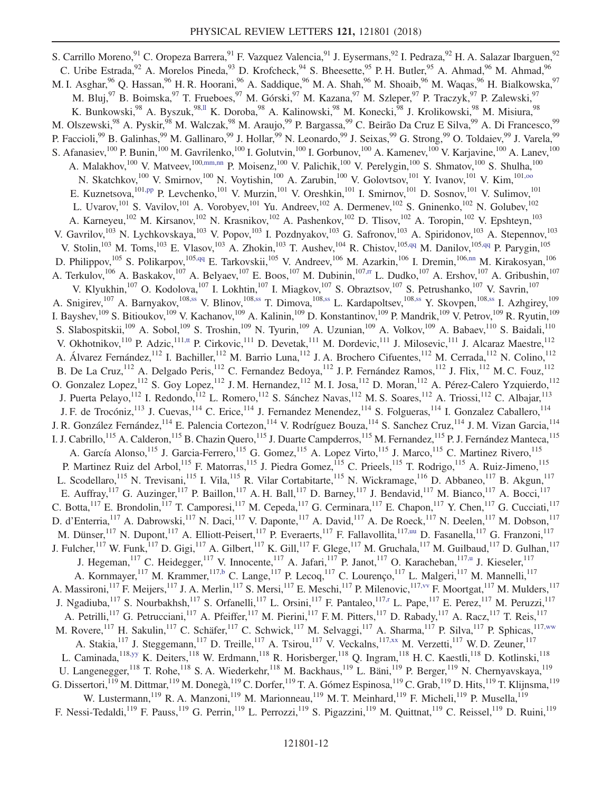<span id="page-11-12"></span><span id="page-11-11"></span><span id="page-11-10"></span><span id="page-11-9"></span><span id="page-11-8"></span><span id="page-11-7"></span><span id="page-11-6"></span><span id="page-11-5"></span><span id="page-11-4"></span><span id="page-11-3"></span><span id="page-11-2"></span><span id="page-11-1"></span><span id="page-11-0"></span>S. Carrillo Moreno,<sup>91</sup> C. Oropeza Barrera,<sup>91</sup> F. Vazquez Valencia,<sup>91</sup> J. Eysermans,<sup>92</sup> I. Pedraza,<sup>92</sup> H. A. Salazar Ibarguen,<sup>92</sup> C. Uribe Estrada,  $92$  A. Morelos Pineda,  $93$  D. Krofcheck,  $94$  S. Bheesette,  $95$  P. H. Butler,  $95$  A. Ahmad,  $96$  M. Ahmad,  $96$ M. I. Asghar, <sup>96</sup> Q. Hassan, <sup>96</sup> H. R. Hoorani, <sup>96</sup> A. Saddique, <sup>96</sup> M. A. Shah, <sup>96</sup> M. Shoaib, <sup>96</sup> M. Waqas, <sup>96</sup> H. Bialkowska, <sup>97</sup> M. Bluj,<sup>97</sup> B. Boimska,<sup>97</sup> T. Frueboes,<sup>97</sup> M. Górski,<sup>97</sup> M. Kazana,<sup>97</sup> M. Szleper,<sup>97</sup> P. Traczyk,<sup>97</sup> P. Zalewski,<sup>97</sup> K. Bunkowski,<sup>98</sup> A. Byszuk,<sup>9[8,ll](#page-18-34)</sup> K. Doroba,<sup>98</sup> A. Kalinowski,<sup>98</sup> M. Konecki,<sup>98</sup> J. Krolikowski,<sup>98</sup> M. Misiura,<sup>98</sup> M. Olszewski,<sup>98</sup> A. Pyskir,<sup>98</sup> M. Walczak,<sup>98</sup> M. Araujo,<sup>99</sup> P. Bargassa,<sup>99</sup> C. Beirão Da Cruz E Silva,<sup>99</sup> A. Di Francesco,<sup>99</sup> P. Faccioli,<sup>99</sup> B. Galinhas,<sup>99</sup> M. Gallinaro,<sup>99</sup> J. Hollar,<sup>99</sup> N. Leonardo,<sup>99</sup> J. Seixas,<sup>99</sup> G. Strong,<sup>99</sup> O. Toldaiev,<sup>99</sup> J. Varela,<sup>99</sup> S. Afanasiev,<sup>100</sup> P. Bunin,<sup>100</sup> M. Gavrilenko,<sup>100</sup> I. Golutvin,<sup>100</sup> I. Gorbunov,<sup>100</sup> A. Kamenev,<sup>100</sup> V. Karjavine,<sup>100</sup> A. Lanev,<sup>100</sup> A. Malakhov,<sup>100</sup> V. Matveev,<sup>100</sup>, Matveev,<sup>100</sup>, Matveev,<sup>100</sup>, Matveev,<sup>100</sup>, A. Malakhov,<sup>100</sup> V. Matveev,<sup>10[0,mm,nn](#page-18-35)</sup> P. Moisenz,<sup>100</sup> V. Palichik,<sup>100</sup> V. Perelygin,<sup>100</sup> S. Shmatov,<sup>100</sup> S. Shulha,<sup>100</sup> N. Skatchkov,<sup>100</sup> V. Smirnov,<sup>100</sup> N. Voytishin,<sup>100</sup> A. Zarubin,<sup>100</sup> V. Golovtsov,<sup>101</sup> Y. Ivanov,<sup>101</sup> V. Kim,<sup>101,00</sup> E. Kuznetsova, <sup>101[,pp](#page-18-37)</sup> P. Levchenko, <sup>101</sup> V. Murzin, <sup>101</sup> V. Oreshkin, <sup>101</sup> I. Smirnov, <sup>101</sup> D. Sosnov, <sup>101</sup> V. Sulimov, <sup>101</sup> L. Uvarov,<sup>101</sup> S. Vavilov,<sup>101</sup> A. Vorobyev,<sup>101</sup> Yu. Andreev,<sup>102</sup> A. Dermenev,<sup>102</sup> S. Gninenko,<sup>102</sup> N. Golubev,<sup>102</sup> A. Karneyeu,<sup>102</sup> M. Kirsanov,<sup>102</sup> N. Krasnikov,<sup>102</sup> A. Pashenkov,<sup>102</sup> D. Tlisov,<sup>102</sup> A. Toropin,<sup>102</sup> V. Epshteyn,<sup>103</sup> V. Gavrilov,<sup>103</sup> N. Lychkovskaya,<sup>103</sup> V. Popov,<sup>103</sup> I. Pozdnyakov,<sup>103</sup> G. Safronov,<sup>103</sup> A. Spiridonov,<sup>103</sup> A. Stepennov,<sup>103</sup> V. Stolin,<sup>103</sup> M. Toms,<sup>103</sup> E. Vlasov,<sup>103</sup> A. Zhokin,<sup>103</sup> T. Aushev,<sup>104</sup> R. Chistov,<sup>105[,qq](#page-18-38)</sup> M. Danilov,<sup>105,qq</sup> P. Parygin,<sup>105</sup> D. Philippov,<sup>105</sup> S. Polikarpov,<sup>10[5,qq](#page-18-38)</sup> E. Tarkovskii,<sup>105</sup> V. Andreev,<sup>106</sup> M. Azarkin,<sup>106</sup> I. Dremin,<sup>10[6,nn](#page-18-39)</sup> M. Kirakosyan,<sup>106</sup> A. Terkulov,<sup>106</sup> A. Baskakov,<sup>107</sup> A. Belyaev,<sup>107</sup> E. Boos,<sup>107</sup> M. Dubinin,<sup>107[,rr](#page-18-40)</sup> L. Dudko,<sup>107</sup> A. Ershov,<sup>107</sup> A. Gribushin,<sup>107</sup> V. Klyukhin,<sup>107</sup> O. Kodolova,<sup>107</sup> I. Lokhtin,<sup>107</sup> I. Miagkov,<sup>107</sup> S. Obraztsov,<sup>107</sup> S. Petrushanko,<sup>107</sup> V. Savrin,<sup>107</sup> A. Snigirev,<sup>107</sup> A. Barnyakov,<sup>108[,ss](#page-18-41)</sup> V. Blinov,<sup>10[8,ss](#page-18-41)</sup> T. Dimova,<sup>108,ss</sup> L. Kardapoltsev,<sup>108,ss</sup> Y. Skovpen,<sup>108,ss</sup> I. Azhgirey,<sup>109</sup> I. Bayshev,<sup>109</sup> S. Bitioukov,<sup>109</sup> V. Kachanov,<sup>109</sup> A. Kalinin,<sup>109</sup> D. Konstantinov,<sup>109</sup> P. Mandrik,<sup>109</sup> V. Petrov,<sup>109</sup> R. Ryutin,<sup>109</sup> S. Slabospitskii,<sup>109</sup> A. Sobol,<sup>109</sup> S. Troshin,<sup>109</sup> N. Tyurin,<sup>109</sup> A. Uzunian,<sup>109</sup> A. Volkov,<sup>109</sup> A. Babaev,<sup>110</sup> S. Baidali,<sup>110</sup> V. Okhotnikov,<sup>110</sup> P. Adzic,<sup>111[,tt](#page-18-42)</sup> P. Cirkovic,<sup>111</sup> D. Devetak,<sup>111</sup> M. Dordevic,<sup>111</sup> J. Milosevic,<sup>111</sup> J. Alcaraz Maestre,<sup>112</sup> A. Álvarez Fernández,<sup>112</sup> I. Bachiller,<sup>112</sup> M. Barrio Luna,<sup>112</sup> J. A. Brochero Cifuentes,<sup>112</sup> M. Cerrada,<sup>112</sup> N. Colino,<sup>112</sup> B. De La Cruz,<sup>112</sup> A. Delgado Peris,<sup>112</sup> C. Fernandez Bedoya,<sup>112</sup> J. P. Fernández Ramos,<sup>112</sup> J. Flix,<sup>112</sup> M. C. Fouz,<sup>112</sup> O. Gonzalez Lopez,<sup>112</sup> S. Goy Lopez,<sup>112</sup> J. M. Hernandez,<sup>112</sup> M. I. Josa,<sup>112</sup> D. Moran,<sup>112</sup> A. Pérez-Calero Yzquierdo,<sup>112</sup> J. Puerta Pelayo,<sup>112</sup> I. Redondo,<sup>112</sup> L. Romero,<sup>112</sup> S. Sánchez Navas,<sup>112</sup> M. S. Soares,<sup>112</sup> A. Triossi,<sup>112</sup> C. Albajar,<sup>113</sup> J. F. de Trocóniz,<sup>113</sup> J. Cuevas,<sup>114</sup> C. Erice,<sup>114</sup> J. Fernandez Menendez,<sup>114</sup> S. Folgueras,<sup>114</sup> I. Gonzalez Caballero,<sup>114</sup> J. R. González Fernández, <sup>114</sup> E. Palencia Cortezon, <sup>114</sup> V. Rodríguez Bouza, <sup>114</sup> S. Sanchez Cruz, <sup>114</sup> J. M. Vizan Garcia, <sup>114</sup> I. J. Cabrillo,<sup>115</sup> A. Calderon,<sup>115</sup> B. Chazin Quero,<sup>115</sup> J. Duarte Campderros,<sup>115</sup> M. Fernandez,<sup>115</sup> P. J. Fernández Manteca,<sup>115</sup> A. García Alonso,<sup>115</sup> J. Garcia-Ferrero,<sup>115</sup> G. Gomez,<sup>115</sup> A. Lopez Virto,<sup>115</sup> J. Marco,<sup>115</sup> C. Martinez Rivero,<sup>115</sup> P. Martinez Ruiz del Arbol,<sup>115</sup> F. Matorras,<sup>115</sup> J. Piedra Gomez,<sup>115</sup> C. Prieels,<sup>115</sup> T. Rodrigo,<sup>115</sup> A. Ruiz-Jimeno,<sup>115</sup> L. Scodellaro,<sup>115</sup> N. Trevisani,<sup>115</sup> I. Vila,<sup>115</sup> R. Vilar Cortabitarte,<sup>115</sup> N. Wickramage,<sup>116</sup> D. Abbaneo,<sup>117</sup> B. Akgun,<sup>117</sup> E. Auffray,<sup>117</sup> G. Auzinger,<sup>117</sup> P. Baillon,<sup>117</sup> A. H. Ball,<sup>117</sup> D. Barney,<sup>117</sup> J. Bendavid,<sup>117</sup> M. Bianco,<sup>117</sup> A. Bocci,<sup>117</sup> C. Botta,<sup>117</sup> E. Brondolin,<sup>117</sup> T. Camporesi,<sup>117</sup> M. Cepeda,<sup>117</sup> G. Cerminara,<sup>117</sup> E. Chapon,<sup>117</sup> Y. Chen,<sup>117</sup> G. Cucciati,<sup>117</sup> D. d'Enterria, <sup>117</sup> A. Dabrowski, <sup>117</sup> N. Daci, <sup>117</sup> V. Daponte, <sup>117</sup> A. David, <sup>117</sup> A. De Roeck, <sup>117</sup> N. Deelen, <sup>117</sup> M. Dobson, <sup>117</sup> M. Dünser, 117 N. Dupont, 117 A. Elliott-Peisert, <sup>117</sup> P. Everaerts, <sup>117</sup> F. Fallavollita, <sup>117, uu</sup> D. Fasanella, <sup>117</sup> G. Franzoni, <sup>117</sup> J. Fulcher,<sup>117</sup> W. Funk,<sup>117</sup> D. Gigi,<sup>117</sup> A. Gilbert,<sup>117</sup> K. Gill,<sup>117</sup> F. Glege,<sup>117</sup> M. Gruchala,<sup>117</sup> M. Guilbaud,<sup>117</sup> D. Gulhan,<sup>117</sup> J. Hegeman,<sup>117</sup> C. Heidegger,<sup>117</sup> V. Innocente,<sup>117</sup> A. Jafari,<sup>117</sup> P. Janot,<sup>117</sup> O. Karacheban,<sup>117[,u](#page-18-17)</sup> J. Kieseler,<sup>117</sup> A. Kornmayer,<sup>117</sup> M. Krammer,<sup>117[,b](#page-18-0)</sup> C. Lange,<sup>117</sup> P. Lecoq,<sup>117</sup> C. Lourenço,<sup>117</sup> L. Malgeri,<sup>117</sup> M. Mannelli,<sup>117</sup> A. Massironi,<sup>117</sup> F. Meijers,<sup>117</sup> J. A. Merlin,<sup>117</sup> S. Mersi,<sup>117</sup> E. Meschi,<sup>117</sup> P. Milenovic,<sup>11[7,vv](#page-18-44)</sup> F. Moortgat,<sup>117</sup> M. Mulders,<sup>117</sup> J. Ngadiuba,<sup>117</sup> S. Nourbakhsh,<sup>117</sup> S. Orfanelli,<sup>117</sup> L. Orsini,<sup>117</sup> F. Pantaleo,<sup>117[,r](#page-18-14)</sup> L. Pape,<sup>117</sup> E. Perez,<sup>117</sup> M. Peruzzi,<sup>117</sup> A. Petrilli,<sup>117</sup> G. Petrucciani,<sup>117</sup> A. Pfeiffer,<sup>117</sup> M. Pierini,<sup>117</sup> F.M. Pitters,<sup>117</sup> D. Rabady,<sup>117</sup> A. Racz,<sup>117</sup> T. Reis,<sup>117</sup> M. Rovere, <sup>117</sup> H. Sakulin, <sup>117</sup> C. Schäfer, <sup>117</sup> C. Schwick, <sup>117</sup> M. Selvaggi, <sup>117</sup> A. Sharma, <sup>117</sup> P. Silva, <sup>117</sup> P. Sphicas, <sup>11[7,ww](#page-18-45)</sup> A. Stakia,<sup>117</sup> J. Steggemann,<sup>117</sup> D. Treille,<sup>117</sup> A. Tsirou,<sup>117</sup> V. Veckalns,<sup>117[,xx](#page-18-46)</sup> M. Verzetti,<sup>117</sup> W. D. Zeuner,<sup>117</sup> L. Caminada,<sup>118[,yy](#page-18-47)</sup> K. Deiters,<sup>118</sup> W. Erdmann,<sup>118</sup> R. Horisberger,<sup>118</sup> Q. Ingram,<sup>118</sup> H. C. Kaestli,<sup>118</sup> D. Kotlinski,<sup>118</sup> U. Langenegger,<sup>118</sup> T. Rohe,<sup>118</sup> S. A. Wiederkehr,<sup>118</sup> M. Backhaus,<sup>119</sup> L. Bäni,<sup>119</sup> P. Berger,<sup>119</sup> N. Chernyavskaya,<sup>119</sup> G. Dissertori,<sup>119</sup> M. Dittmar,<sup>119</sup> M. Donegà,<sup>119</sup> C. Dorfer,<sup>119</sup> T. A. Gómez Espinosa,<sup>119</sup> C. Grab,<sup>119</sup> D. Hits,<sup>119</sup> T. Klijnsma,<sup>119</sup> W. Lustermann,<sup>119</sup> R. A. Manzoni,<sup>119</sup> M. Marionneau,<sup>119</sup> M. T. Meinhard,<sup>119</sup> F. Micheli,<sup>119</sup> P. Musella,<sup>119</sup> F. Nessi-Tedaldi,<sup>119</sup> F. Pauss,<sup>119</sup> G. Perrin,<sup>119</sup> L. Perrozzi,<sup>119</sup> S. Pigazzini,<sup>119</sup> M. Quittnat,<sup>119</sup> C. Reissel,<sup>119</sup> D. Ruini,<sup>119</sup>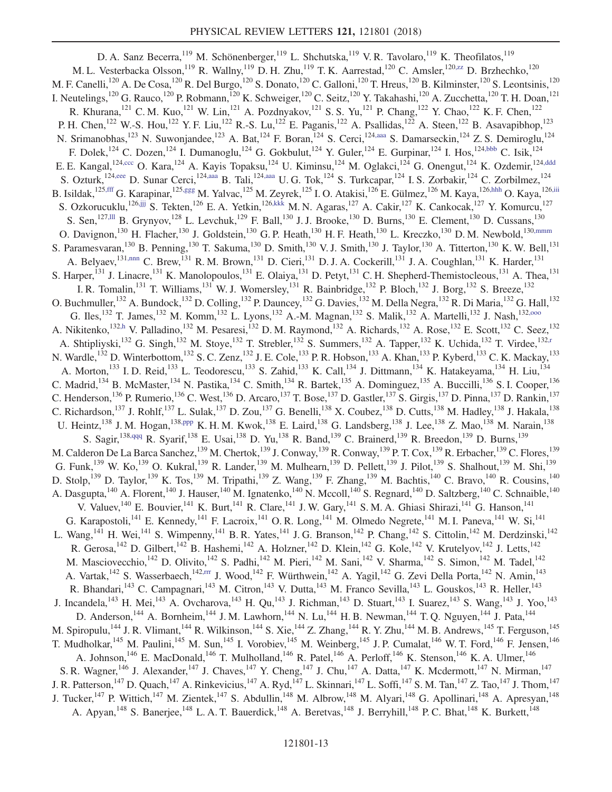<span id="page-12-12"></span><span id="page-12-11"></span><span id="page-12-10"></span><span id="page-12-9"></span><span id="page-12-8"></span><span id="page-12-7"></span><span id="page-12-6"></span><span id="page-12-5"></span><span id="page-12-4"></span><span id="page-12-3"></span><span id="page-12-2"></span><span id="page-12-1"></span><span id="page-12-0"></span>D. A. Sanz Becerra,  $^{119}$  M. Schönenberger,  $^{119}$  L. Shchutska,  $^{119}$  V. R. Tavolaro,  $^{119}$  K. Theofilatos,  $^{119}$ M. L. Vesterbacka Olsson,<sup>119</sup> R. Wallny,<sup>119</sup> D. H. Zhu,<sup>119</sup> T. K. Aarrestad,<sup>120</sup> C. Amsler,<sup>120[,zz](#page-18-48)</sup> D. Brzhechko,<sup>120</sup> M. F. Canelli,<sup>120</sup> A. De Cosa,<sup>120</sup> R. Del Burgo,<sup>120</sup> S. Donato,<sup>120</sup> C. Galloni,<sup>120</sup> T. Hreus,<sup>120</sup> B. Kilminster,<sup>120</sup> S. Leontsinis,<sup>120</sup> B. I. Neutelings,<sup>120</sup> G. Rauco,<sup>120</sup> P. Robmann,<sup>120</sup> K. Schweiger,<sup>120</sup> C. Seitz,<sup>120</sup> Y. Takahashi,<sup>120</sup> A. Zucchetta,<sup>120</sup> T. H. Doan,<sup>121</sup> R. Khurana,<sup>121</sup> C. M. Kuo,<sup>121</sup> W. Lin,<sup>121</sup> A. Pozdnyakov,<sup>121</sup> S. S. Yu,<sup>121</sup> P. Chang,<sup>122</sup> Y. Chao,<sup>122</sup> K. F. Chen,<sup>122</sup> P. H. Chen,<sup>122</sup> W.-S. Hou,<sup>122</sup> Y. F. Liu,<sup>122</sup> R.-S. Lu,<sup>122</sup> E. Paganis,<sup>122</sup> A. Psallidas,<sup>122</sup> A. Steen,<sup>122</sup> B. Asavapibhop,<sup>123</sup> N. Srimanobhas,<sup>123</sup> N. Suwonjandee,<sup>123</sup> A. Bat,<sup>124</sup> F. Boran,<sup>124</sup> S. Cerci,<sup>12[4,aaa](#page-18-49)</sup> S. Damarseckin,<sup>124</sup> Z. S. Demiroglu,<sup>124</sup> F. Dolek,<sup>124</sup> C. Dozen,<sup>124</sup> I. Dumanoglu,<sup>124</sup> G. Gokbulut,<sup>124</sup> Y. Guler,<sup>124</sup> E. Gurpinar,<sup>124</sup> I. Hos,<sup>124[,bbb](#page-19-0)</sup> C. Isik,<sup>124</sup> E. E. Kangal,<sup>124[,ccc](#page-19-1)</sup> O. Kara,<sup>124</sup> A. Kayis Topaksu,<sup>124</sup> U. Kiminsu,<sup>124</sup> M. Oglakci,<sup>124</sup> G. Onengut,<sup>124</sup> K. Ozdemir,<sup>124[,ddd](#page-19-2)</sup> S. Ozturk,<sup>124[,eee](#page-19-3)</sup> D. Sunar Cerci,<sup>124[,aaa](#page-18-49)</sup> B. Tali,<sup>12[4,aaa](#page-18-49)</sup> U. G. Tok,<sup>124</sup> S. Turkcapar,<sup>124</sup> I. S. Zorbakir,<sup>124</sup> C. Zorbilmez,<sup>124</sup> B. Isildak,<sup>12[5,fff](#page-19-4)</sup> G. Karapinar,<sup>125[,ggg](#page-19-5)</sup> M. Yalvac,<sup>125</sup> M. Zeyrek,<sup>125</sup> I. O. Atakisi,<sup>126</sup> E. Gülmez,<sup>126</sup> M. Kaya,<sup>12[6,hhh](#page-19-6)</sup> O. Kaya,<sup>12[6,iii](#page-19-7)</sup> S. Ozkorucuklu,<sup>126[,jjj](#page-19-8)</sup> S. Tekten,<sup>126</sup> E. A. Yetkin,<sup>12[6,kkk](#page-19-9)</sup> M. N. Agaras,<sup>127</sup> A. Cakir,<sup>127</sup> K. Cankocak,<sup>127</sup> Y. Komurcu,<sup>127</sup> S. Sen,<sup>127, III</sup> B. Grynyov,<sup>128</sup> L. Levchuk,<sup>129</sup> F. Ball,<sup>130</sup> J. J. Brooke,<sup>130</sup> D. Burns,<sup>130</sup> E. Clement,<sup>130</sup> D. Cussans,<sup>130</sup> O. Davignon,<sup>130</sup> H. Flacher,<sup>130</sup> J. Goldstein,<sup>130</sup> G. P. Heath,<sup>130</sup> H. F. Heath,<sup>130</sup> L. Kreczko,<sup>130</sup> D. M. Newbold,<sup>13[0,mmm](#page-19-11)</sup> S. Paramesvaran,<sup>130</sup> B. Penning,<sup>130</sup> T. Sakuma,<sup>130</sup> D. Smith,<sup>130</sup> V. J. Smith,<sup>130</sup> J. Taylor,<sup>130</sup> A. Titterton,<sup>130</sup> K. W. Bell,<sup>131</sup> A. Belyaev,<sup>13[1,nnn](#page-19-12)</sup> C. Brew,<sup>131</sup> R. M. Brown,<sup>131</sup> D. Cieri,<sup>131</sup> D. J. A. Cockerill,<sup>131</sup> J. A. Coughlan,<sup>131</sup> K. Harder,<sup>131</sup> S. Harper,<sup>131</sup> J. Linacre,<sup>131</sup> K. Manolopoulos,<sup>131</sup> E. Olaiya,<sup>131</sup> D. Petyt,<sup>131</sup> C. H. Shepherd-Themistocleous,<sup>131</sup> A. Thea,<sup>131</sup> I. R. Tomalin,<sup>131</sup> T. Williams,<sup>131</sup> W. J. Womersley,<sup>131</sup> R. Bainbridge,<sup>132</sup> P. Bloch,<sup>132</sup> J. Borg,<sup>132</sup> S. Breeze,<sup>132</sup> O. Buchmuller,<sup>132</sup> A. Bundock,<sup>132</sup> D. Colling,<sup>132</sup> P. Dauncey,<sup>132</sup> G. Davies,<sup>132</sup> M. Della Negra,<sup>132</sup> R. Di Maria,<sup>132</sup> G. Hall,<sup>132</sup> G. Iles,<sup>132</sup> T. James,<sup>132</sup> M. Komm,<sup>132</sup> L. Lyons,<sup>132</sup> A.-M. Magnan,<sup>132</sup> S. Malik,<sup>132</sup> A. Martelli,<sup>132</sup> J. Nash,<sup>132,000</sup> A. Nikitenko,<sup>13[2,h](#page-18-6)</sup> V. Palladino,<sup>132</sup> M. Pesaresi,<sup>132</sup> D. M. Raymond,<sup>132</sup> A. Richards,<sup>132</sup> A. Rose,<sup>132</sup> E. Scott,<sup>132</sup> C. Seez,<sup>132</sup> A. Shtipliyski,<sup>132</sup> G. Singh,<sup>132</sup> M. Stoye,<sup>132</sup> T. Strebler,<sup>132</sup> S. Summers,<sup>132</sup> A. Tapper,<sup>132</sup> K. Uchida,<sup>132</sup> T. Virdee,<sup>13[2,r](#page-18-14)</sup> N. Wardle,<sup>132</sup> D. Winterbottom,<sup>132</sup> S. C. Zenz,<sup>132</sup> J. E. Cole,<sup>133</sup> P. R. Hobson,<sup>133</sup> A. Khan,<sup>133</sup> P. Kyberd,<sup>133</sup> C. K. Mackay,<sup>133</sup> A. Morton,<sup>133</sup> I. D. Reid,<sup>133</sup> L. Teodorescu,<sup>133</sup> S. Zahid,<sup>133</sup> K. Call,<sup>134</sup> J. Dittmann,<sup>134</sup> K. Hatakeyama,<sup>134</sup> H. Liu,<sup>134</sup> C. Madrid,<sup>134</sup> B. McMaster,<sup>134</sup> N. Pastika,<sup>134</sup> C. Smith,<sup>134</sup> R. Bartek,<sup>135</sup> A. Dominguez,<sup>135</sup> A. Buccilli,<sup>136</sup> S. I. Cooper,<sup>136</sup> C. Henderson,<sup>136</sup> P. Rumerio,<sup>136</sup> C. West,<sup>136</sup> D. Arcaro,<sup>137</sup> T. Bose,<sup>137</sup> D. Gastler,<sup>137</sup> S. Girgis,<sup>137</sup> D. Pinna,<sup>137</sup> D. Rankin,<sup>137</sup> C. Richardson,  $^{137}$  J. Rohlf,  $^{137}$  L. Sulak,  $^{137}$  D. Zou,  $^{137}$  G. Benelli,  $^{138}$  X. Coubez,  $^{138}$  D. Cutts,  $^{138}$  M. Hadley,  $^{138}$  J. Hakala,  $^{138}$ U. Heintz,<sup>138</sup> J. M. Hogan,<sup>13[8,ppp](#page-19-14)</sup> K. H. M. Kwok,<sup>138</sup> E. Laird,<sup>138</sup> G. Landsberg,<sup>138</sup> J. Lee,<sup>138</sup> Z. Mao,<sup>138</sup> M. Narain,<sup>138</sup> S. Sagir,<sup>13[8,qqq](#page-19-15)</sup> R. Syarif,<sup>138</sup> E. Usai,<sup>138</sup> D. Yu,<sup>138</sup> R. Band,<sup>139</sup> C. Brainerd,<sup>139</sup> R. Breedon,<sup>139</sup> D. Burns,<sup>139</sup> M. Calderon De La Barca Sanchez,<sup>139</sup> M. Chertok,<sup>139</sup> J. Conway,<sup>139</sup> R. Conway,<sup>139</sup> P. T. Cox,<sup>139</sup> R. Erbacher,<sup>139</sup> C. Flores,<sup>139</sup> G. Funk,  $^{139}$  W. Ko,  $^{139}$  O. Kukral,  $^{139}$  R. Lander,  $^{139}$  M. Mulhearn,  $^{139}$  D. Pellett,  $^{139}$  J. Pilot,  $^{139}$  S. Shalhout,  $^{139}$  M. Shi,  $^{139}$ D. Stolp,<sup>139</sup> D. Taylor,<sup>139</sup> K. Tos,<sup>139</sup> M. Tripathi,<sup>139</sup> Z. Wang,<sup>139</sup> F. Zhang,<sup>139</sup> M. Bachtis,<sup>140</sup> C. Bravo,<sup>140</sup> R. Cousins,<sup>140</sup> A. Dasgupta,<sup>140</sup> A. Florent,<sup>140</sup> J. Hauser,<sup>140</sup> M. Ignatenko,<sup>140</sup> N. Mccoll,<sup>140</sup> S. Regnard,<sup>140</sup> D. Saltzberg,<sup>140</sup> C. Schnaible,<sup>140</sup> V. Valuev,<sup>140</sup> E. Bouvier,<sup>141</sup> K. Burt,<sup>141</sup> R. Clare,<sup>141</sup> J. W. Gary,<sup>141</sup> S. M. A. Ghiasi Shirazi,<sup>141</sup> G. Hanson,<sup>141</sup> G. Karapostoli,<sup>141</sup> E. Kennedy,<sup>141</sup> F. Lacroix,<sup>141</sup> O. R. Long,<sup>141</sup> M. Olmedo Negrete,<sup>141</sup> M. I. Paneva,<sup>141</sup> W. Si,<sup>141</sup> L. Wang,<sup>141</sup> H. Wei,<sup>141</sup> S. Wimpenny,<sup>141</sup> B. R. Yates,<sup>141</sup> J. G. Branson,<sup>142</sup> P. Chang,<sup>142</sup> S. Cittolin,<sup>142</sup> M. Derdzinski,<sup>142</sup> R. Gerosa,<sup>142</sup> D. Gilbert,<sup>142</sup> B. Hashemi,<sup>142</sup> A. Holzner,<sup>142</sup> D. Klein,<sup>142</sup> G. Kole,<sup>142</sup> V. Krutelyov,<sup>142</sup> J. Letts,<sup>142</sup> M. Masciovecchio, <sup>142</sup> D. Olivito, <sup>142</sup> S. Padhi, <sup>142</sup> M. Pieri, <sup>142</sup> M. Sani, <sup>142</sup> V. Sharma, <sup>142</sup> S. Simon, <sup>142</sup> M. Tadel, <sup>142</sup> A. Vartak,<sup>142</sup> S. Wasserbaech,<sup>142[,rrr](#page-19-16)</sup> J. Wood,<sup>142</sup> F. Würthwein,<sup>142</sup> A. Yagil,<sup>142</sup> G. Zevi Della Porta,<sup>142</sup> N. Amin,<sup>143</sup> R. Bhandari,<sup>143</sup> C. Campagnari,<sup>143</sup> M. Citron,<sup>143</sup> V. Dutta,<sup>143</sup> M. Franco Sevilla,<sup>143</sup> L. Gouskos,<sup>143</sup> R. Heller,<sup>143</sup> J. Incandela,<sup>143</sup> H. Mei,<sup>143</sup> A. Ovcharova,<sup>143</sup> H. Qu,<sup>143</sup> J. Richman,<sup>143</sup> D. Stuart,<sup>143</sup> I. Suarez,<sup>143</sup> S. Wang,<sup>143</sup> J. Yoo,<sup>143</sup> D. Anderson,<sup>144</sup> A. Bornheim,<sup>144</sup> J. M. Lawhorn,<sup>144</sup> N. Lu,<sup>144</sup> H. B. Newman,<sup>144</sup> T. Q. Nguyen,<sup>144</sup> J. Pata,<sup>144</sup> M. Spiropulu,<sup>144</sup> J. R. Vlimant,<sup>144</sup> R. Wilkinson,<sup>144</sup> S. Xie,<sup>144</sup> Z. Zhang,<sup>144</sup> R. Y. Zhu,<sup>144</sup> M. B. Andrews,<sup>145</sup> T. Ferguson,<sup>145</sup> T. Mudholkar,<sup>145</sup> M. Paulini,<sup>145</sup> M. Sun,<sup>145</sup> I. Vorobiev,<sup>145</sup> M. Weinberg,<sup>145</sup> J. P. Cumalat,<sup>146</sup> W. T. Ford,<sup>146</sup> F. Jensen,<sup>146</sup> A. Johnson,<sup>146</sup> E. MacDonald,<sup>146</sup> T. Mulholland,<sup>146</sup> R. Patel,<sup>146</sup> A. Perloff,<sup>146</sup> K. Stenson,<sup>146</sup> K. A. Ulmer,<sup>146</sup> S. R. Wagner,<sup>146</sup> J. Alexander,<sup>147</sup> J. Chaves,<sup>147</sup> Y. Cheng,<sup>147</sup> J. Chu,<sup>147</sup> A. Datta,<sup>147</sup> K. Mcdermott,<sup>147</sup> N. Mirman,<sup>147</sup> J. R. Patterson,<sup>147</sup> D. Quach,<sup>147</sup> A. Rinkevicius,<sup>147</sup> A. Ryd,<sup>147</sup> L. Skinnari,<sup>147</sup> L. Soffi,<sup>147</sup> S. M. Tan,<sup>147</sup> Z. Tao,<sup>147</sup> J. Thom,<sup>147</sup> J. Tucker,<sup>147</sup> P. Wittich,<sup>147</sup> M. Zientek,<sup>147</sup> S. Abdullin,<sup>148</sup> M. Albrow,<sup>148</sup> M. Alyari,<sup>148</sup> G. Apollinari,<sup>148</sup> A. Apresyan,<sup>148</sup> A. Apyan,<sup>148</sup> S. Banerjee,<sup>148</sup> L. A. T. Bauerdick,<sup>148</sup> A. Beretvas,<sup>148</sup> J. Berryhill,<sup>148</sup> P. C. Bhat,<sup>148</sup> K. Burkett,<sup>148</sup>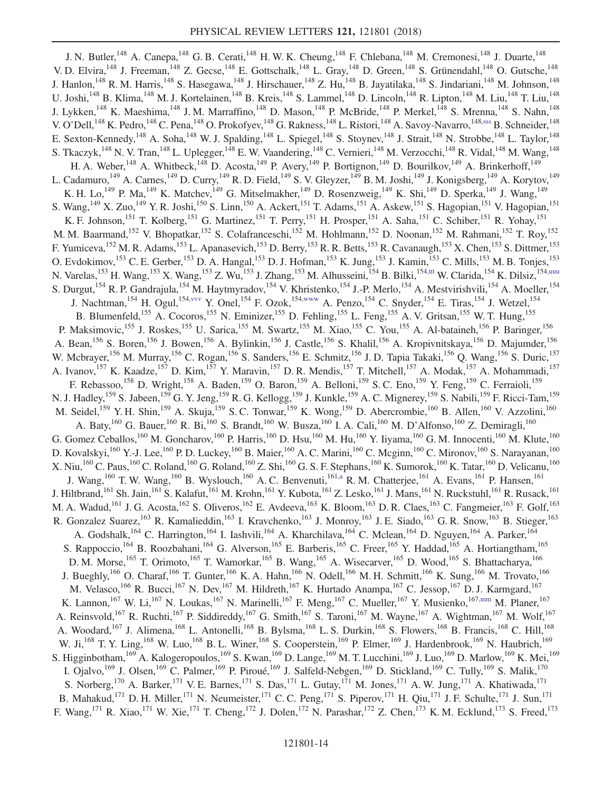<span id="page-13-2"></span><span id="page-13-1"></span><span id="page-13-0"></span>J. N. Butler,<sup>148</sup> A. Canepa,<sup>148</sup> G. B. Cerati,<sup>148</sup> H. W. K. Cheung,<sup>148</sup> F. Chlebana,<sup>148</sup> M. Cremonesi,<sup>148</sup> J. Duarte,<sup>148</sup> V. D. Elvira, <sup>148</sup> J. Freeman, <sup>148</sup> Z. Gecse, <sup>148</sup> E. Gottschalk, <sup>148</sup> L. Gray, <sup>148</sup> D. Green, <sup>148</sup> S. Grünendahl, <sup>148</sup> O. Gutsche, <sup>148</sup> J. Hanlon,<sup>148</sup> R. M. Harris,<sup>148</sup> S. Hasegawa,<sup>148</sup> J. Hirschauer,<sup>148</sup> Z. Hu,<sup>148</sup> B. Jayatilaka,<sup>148</sup> S. Jindariani,<sup>148</sup> M. Johnson,<sup>148</sup> U. Joshi,  $^{148}$  B. Klima,  $^{148}$  M. J. Kortelainen,  $^{148}$  B. Kreis,  $^{148}$  S. Lammel,  $^{148}$  D. Lincoln,  $^{148}$  R. Lipton,  $^{148}$  M. Liu,  $^{148}$  T. Liu,  $^{148}$ J. Lykken,<sup>148</sup> K. Maeshima,<sup>148</sup> J. M. Marraffino,<sup>148</sup> D. Mason,<sup>148</sup> P. McBride,<sup>148</sup> P. Merkel,<sup>148</sup> S. Mrenna,<sup>148</sup> S. Nahn,<sup>148</sup> V. O'Dell,<sup>148</sup> K. Pedro,<sup>148</sup> C. Pena,<sup>148</sup> O. Prokofyev,<sup>148</sup> G. Rakness,<sup>148</sup> L. Ristori,<sup>148</sup> A. Savoy-Navarro,<sup>148[,sss](#page-19-17)</sup> B. Schneider,<sup>148</sup> E. Sexton-Kennedy,<sup>148</sup> A. Soha,<sup>148</sup> W. J. Spalding,<sup>148</sup> L. Spiegel,<sup>148</sup> S. Stoynev,<sup>148</sup> J. Strait,<sup>148</sup> N. Strobbe,<sup>148</sup> L. Taylor,<sup>148</sup> S. Tkaczyk,<sup>148</sup> N. V. Tran,<sup>148</sup> L. Uplegger,<sup>148</sup> E. W. Vaandering,<sup>148</sup> C. Vernieri,<sup>148</sup> M. Verzocchi,<sup>148</sup> R. Vidal,<sup>148</sup> M. Wang,<sup>148</sup> H. A. Weber,<sup>148</sup> A. Whitbeck,<sup>148</sup> D. Acosta,<sup>149</sup> P. Avery,<sup>149</sup> P. Bortignon,<sup>149</sup> D. Bourilkov,<sup>149</sup> A. Brinkerhoff,<sup>149</sup> L. Cadamuro,<sup>149</sup> A. Carnes,<sup>149</sup> D. Curry,<sup>149</sup> R. D. Field,<sup>149</sup> S. V. Gleyzer,<sup>149</sup> B. M. Joshi,<sup>149</sup> J. Konigsberg,<sup>149</sup> A. Korytov,<sup>149</sup> K. H. Lo,<sup>149</sup> P. Ma,<sup>149</sup> K. Matchev,<sup>149</sup> G. Mitselmakher,<sup>149</sup> D. Rosenzweig,<sup>149</sup> K. Shi,<sup>149</sup> D. Sperka,<sup>149</sup> J. Wang,<sup>149</sup> S. Wang, <sup>149</sup> X. Zuo, <sup>149</sup> Y. R. Joshi, <sup>150</sup> S. Linn, <sup>150</sup> A. Ackert, <sup>151</sup> T. Adams, <sup>151</sup> A. Askew, <sup>151</sup> S. Hagopian, <sup>151</sup> V. Hagopian, <sup>151</sup> K. F. Johnson,<sup>151</sup> T. Kolberg,<sup>151</sup> G. Martinez,<sup>151</sup> T. Perry,<sup>151</sup> H. Prosper,<sup>151</sup> A. Saha,<sup>151</sup> C. Schiber,<sup>151</sup> R. Yohay,<sup>151</sup> M. M. Baarmand,<sup>152</sup> V. Bhopatkar,<sup>152</sup> S. Colafranceschi,<sup>152</sup> M. Hohlmann,<sup>152</sup> D. Noonan,<sup>152</sup> M. Rahmani,<sup>152</sup> T. Roy,<sup>152</sup> F. Yumiceva,<sup>152</sup> M. R. Adams,<sup>153</sup> L. Apanasevich,<sup>153</sup> D. Berry,<sup>153</sup> R. R. Betts,<sup>153</sup> R. Cavanaugh,<sup>153</sup> X. Chen,<sup>153</sup> S. Dittmer,<sup>153</sup> O. Evdokimov,<sup>153</sup> C. E. Gerber,<sup>153</sup> D. A. Hangal,<sup>153</sup> D. J. Hofman,<sup>153</sup> K. Jung,<sup>153</sup> J. Kamin,<sup>153</sup> C. Mills,<sup>153</sup> M. B. Tonjes,<sup>153</sup> N. Varelas,<sup>153</sup> H. Wang,<sup>153</sup> X. Wang,<sup>153</sup> Z. Wu,<sup>153</sup> J. Zhang,<sup>153</sup> M. Alhusseini,<sup>154</sup> B. Bilki,<sup>154[,ttt](#page-19-18)</sup> W. Clarida,<sup>154</sup> K. Dilsiz,<sup>154[,uuu](#page-19-19)</sup> S. Durgut,<sup>154</sup> R. P. Gandrajula,<sup>154</sup> M. Haytmyradov,<sup>154</sup> V. Khristenko,<sup>154</sup> J.-P. Merlo,<sup>154</sup> A. Mestvirishvili,<sup>154</sup> A. Moeller,<sup>154</sup> J. Nachtman,<sup>154</sup> H. Ogul,<sup>15[4,vvv](#page-19-20)</sup> Y. Onel,<sup>154</sup> F. Ozok,<sup>15[4,www](#page-19-21)</sup> A. Penzo,<sup>154</sup> C. Snyder,<sup>154</sup> E. Tiras,<sup>154</sup> J. Wetzel,<sup>154</sup> B. Blumenfeld,<sup>155</sup> A. Cocoros,<sup>155</sup> N. Eminizer,<sup>155</sup> D. Fehling,<sup>155</sup> L. Feng,<sup>155</sup> A. V. Gritsan,<sup>155</sup> W. T. Hung,<sup>155</sup> P. Maksimovic,<sup>155</sup> J. Roskes,<sup>155</sup> U. Sarica,<sup>155</sup> M. Swartz,<sup>155</sup> M. Xiao,<sup>155</sup> C. You,<sup>155</sup> A. Al-bataineh,<sup>156</sup> P. Baringer,<sup>156</sup> A. Bean, <sup>156</sup> S. Boren, <sup>156</sup> J. Bowen, <sup>156</sup> A. Bylinkin, <sup>156</sup> J. Castle, <sup>156</sup> S. Khalil, <sup>156</sup> A. Kropivnitskaya, <sup>156</sup> D. Majumder, <sup>156</sup> W. Mcbrayer,<sup>156</sup> M. Murray,<sup>156</sup> C. Rogan,<sup>156</sup> S. Sanders,<sup>156</sup> E. Schmitz,<sup>156</sup> J. D. Tapia Takaki,<sup>156</sup> Q. Wang,<sup>156</sup> S. Duric,<sup>157</sup> A. Ivanov,<sup>157</sup> K. Kaadze,<sup>157</sup> D. Kim,<sup>157</sup> Y. Maravin,<sup>157</sup> D. R. Mendis,<sup>157</sup> T. Mitchell,<sup>157</sup> A. Modak,<sup>157</sup> A. Mohammadi,<sup>157</sup> F. Rebassoo,<sup>158</sup> D. Wright,<sup>158</sup> A. Baden,<sup>159</sup> O. Baron,<sup>159</sup> A. Belloni,<sup>159</sup> S.C. Eno,<sup>159</sup> Y. Feng,<sup>159</sup> C. Ferraioli,<sup>159</sup> N. J. Hadley,<sup>159</sup> S. Jabeen,<sup>159</sup> G. Y. Jeng,<sup>159</sup> R. G. Kellogg,<sup>159</sup> J. Kunkle,<sup>159</sup> A. C. Mignerey,<sup>159</sup> S. Nabili,<sup>159</sup> F. Ricci-Tam,<sup>159</sup> M. Seidel,<sup>159</sup> Y. H. Shin,<sup>159</sup> A. Skuja,<sup>159</sup> S. C. Tonwar,<sup>159</sup> K. Wong,<sup>159</sup> D. Abercrombie,<sup>160</sup> B. Allen,<sup>160</sup> V. Azzolini,<sup>160</sup> A. Baty,<sup>160</sup> G. Bauer,<sup>160</sup> R. Bi,<sup>160</sup> S. Brandt,<sup>160</sup> W. Busza,<sup>160</sup> I. A. Cali,<sup>160</sup> M. D'Alfonso,<sup>160</sup> Z. Demiragli,<sup>160</sup> G. Gomez Ceballos,<sup>160</sup> M. Goncharov,<sup>160</sup> P. Harris,<sup>160</sup> D. Hsu,<sup>160</sup> M. Hu,<sup>160</sup> Y. Iiyama,<sup>160</sup> G. M. Innocenti,<sup>160</sup> M. Klute,<sup>160</sup> D. Kovalskyi,<sup>160</sup> Y.-J. Lee,<sup>160</sup> P. D. Luckey,<sup>160</sup> B. Maier,<sup>160</sup> A. C. Marini,<sup>160</sup> C. Mcginn,<sup>160</sup> C. Mironov,<sup>160</sup> S. Narayanan,<sup>160</sup> X. Niu,  $^{160}$  C. Paus,  $^{160}$  C. Roland,  $^{160}$  G. Roland,  $^{160}$  Z. Shi,  $^{160}$  G. S. F. Stephans,  $^{160}$  K. Sumorok,  $^{160}$  K. Tatar,  $^{160}$  D. Velicanu,  $^{160}$ J. Wang,<sup>160</sup> T. W. Wang,<sup>160</sup> B. Wyslouch,<sup>160</sup> A. C. Benvenuti,<sup>16[1,a](#page-18-20)</sup> R. M. Chatterjee,<sup>161</sup> A. Evans,<sup>161</sup> P. Hansen,<sup>161</sup> J. Hiltbrand,<sup>161</sup> Sh. Jain,<sup>161</sup> S. Kalafut,<sup>161</sup> M. Krohn,<sup>161</sup> Y. Kubota,<sup>161</sup> Z. Lesko,<sup>161</sup> J. Mans,<sup>161</sup> N. Ruckstuhl,<sup>161</sup> R. Rusack,<sup>161</sup> M. A. Wadud,<sup>161</sup> J. G. Acosta,<sup>162</sup> S. Oliveros,<sup>162</sup> E. Avdeeva,<sup>163</sup> K. Bloom,<sup>163</sup> D. R. Claes,<sup>163</sup> C. Fangmeier,<sup>163</sup> F. Golf,<sup>163</sup> R. Gonzalez Suarez, <sup>163</sup> R. Kamalieddin, <sup>163</sup> I. Kravchenko, <sup>163</sup> J. Monroy, <sup>163</sup> J. E. Siado, <sup>163</sup> G. R. Snow, <sup>163</sup> B. Stieger, <sup>163</sup> A. Godshalk,<sup>164</sup> C. Harrington,<sup>164</sup> I. Iashvili,<sup>164</sup> A. Kharchilava,<sup>164</sup> C. Mclean,<sup>164</sup> D. Nguyen,<sup>164</sup> A. Parker,<sup>164</sup> S. Rappoccio,<sup>164</sup> B. Roozbahani,<sup>164</sup> G. Alverson,<sup>165</sup> E. Barberis,<sup>165</sup> C. Freer,<sup>165</sup> Y. Haddad,<sup>165</sup> A. Hortiangtham,<sup>165</sup> D. M. Morse,<sup>165</sup> T. Orimoto,<sup>165</sup> T. Wamorkar,<sup>165</sup> B. Wang,<sup>165</sup> A. Wisecarver,<sup>165</sup> D. Wood,<sup>165</sup> S. Bhattacharya,<sup>166</sup> J. Bueghly,<sup>166</sup> O. Charaf,<sup>166</sup> T. Gunter,<sup>166</sup> K. A. Hahn,<sup>166</sup> N. Odell,<sup>166</sup> M. H. Schmitt,<sup>166</sup> K. Sung,<sup>166</sup> M. Trovato,<sup>166</sup> M. Velasco,<sup>166</sup> R. Bucci,<sup>167</sup> N. Dev,<sup>167</sup> M. Hildreth,<sup>167</sup> K. Hurtado Anampa,<sup>167</sup> C. Jessop,<sup>167</sup> D. J. Karmgard,<sup>167</sup> K. Lannon, <sup>167</sup> W. Li, <sup>167</sup> N. Loukas, <sup>167</sup> N. Marinelli, <sup>167</sup> F. Meng, <sup>167</sup> C. Mueller, <sup>167</sup> Y. Musienko, <sup>167[,mm](#page-18-35)</sup> M. Planer, <sup>167</sup> A. Reinsvold,<sup>167</sup> R. Ruchti,<sup>167</sup> P. Siddireddy,<sup>167</sup> G. Smith,<sup>167</sup> S. Taroni,<sup>167</sup> M. Wayne,<sup>167</sup> A. Wightman,<sup>167</sup> M. Wolf,<sup>167</sup> A. Woodard,<sup>167</sup> J. Alimena,<sup>168</sup> L. Antonelli,<sup>168</sup> B. Bylsma,<sup>168</sup> L. S. Durkin,<sup>168</sup> S. Flowers,<sup>168</sup> B. Francis,<sup>168</sup> C. Hill,<sup>168</sup> W. Ji,<sup>168</sup> T. Y. Ling,<sup>168</sup> W. Luo,<sup>168</sup> B. L. Winer,<sup>168</sup> S. Cooperstein,<sup>169</sup> P. Elmer,<sup>169</sup> J. Hardenbrook,<sup>169</sup> N. Haubrich,<sup>169</sup> S. Higginbotham, <sup>169</sup> A. Kalogeropoulos, <sup>169</sup> S. Kwan, <sup>169</sup> D. Lange, <sup>169</sup> M. T. Lucchini, <sup>169</sup> J. Luo, <sup>169</sup> D. Marlow, <sup>169</sup> K. Mei, <sup>169</sup> I. Ojalvo,  $^{169}$  J. Olsen,  $^{169}$  C. Palmer,  $^{169}$  P. Piroué,  $^{169}$  J. Salfeld-Nebgen,  $^{169}$  D. Stickland,  $^{169}$  C. Tully,  $^{169}$  S. Malik,  $^{170}$ S. Norberg,<sup>170</sup> A. Barker,<sup>171</sup> V. E. Barnes,<sup>171</sup> S. Das,<sup>171</sup> L. Gutay,<sup>171</sup> M. Jones,<sup>171</sup> A. W. Jung,<sup>171</sup> A. Khatiwada,<sup>171</sup> B. Mahakud,<sup>171</sup> D. H. Miller,<sup>171</sup> N. Neumeister,<sup>171</sup> C. C. Peng,<sup>171</sup> S. Piperov,<sup>171</sup> H. Qiu,<sup>171</sup> J. F. Schulte,<sup>171</sup> J. Sun,<sup>171</sup> F. Wang,<sup>171</sup> R. Xiao,<sup>171</sup> W. Xie,<sup>171</sup> T. Cheng,<sup>172</sup> J. Dolen,<sup>172</sup> N. Parashar,<sup>172</sup> Z. Chen,<sup>173</sup> K. M. Ecklund,<sup>173</sup> S. Freed,<sup>173</sup>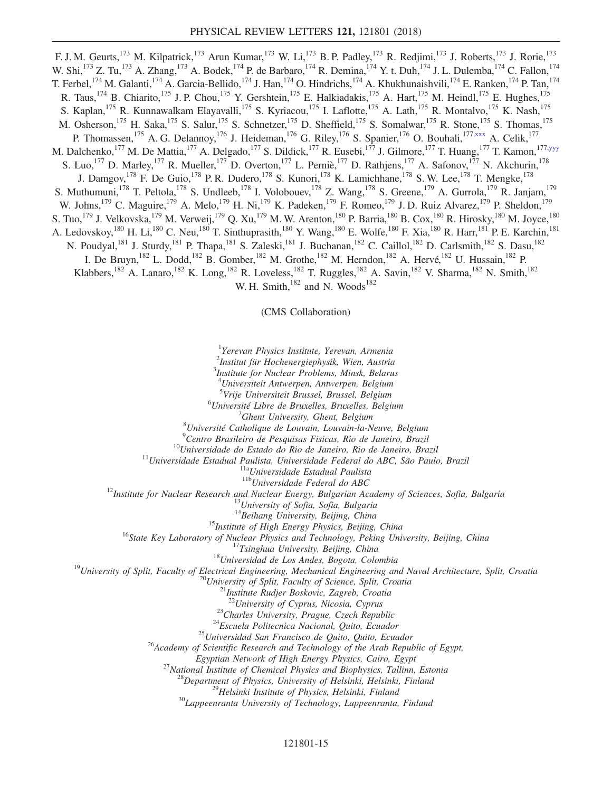<span id="page-14-1"></span><span id="page-14-0"></span>F. J. M. Geurts,<sup>173</sup> M. Kilpatrick,<sup>173</sup> Arun Kumar,<sup>173</sup> W. Li,<sup>173</sup> B. P. Padley,<sup>173</sup> R. Redjimi,<sup>173</sup> J. Roberts,<sup>173</sup> J. Rorie,<sup>173</sup> W. Shi,<sup>173</sup> Z. Tu,<sup>173</sup> A. Zhang,<sup>173</sup> A. Bodek,<sup>174</sup> P. de Barbaro,<sup>174</sup> R. Demina,<sup>174</sup> Y. t. Duh,<sup>174</sup> J. L. Dulemba,<sup>174</sup> C. Fallon,<sup>174</sup> T. Ferbel, <sup>174</sup> M. Galanti, <sup>174</sup> A. Garcia-Bellido, <sup>174</sup> J. Han, <sup>174</sup> O. Hindrichs, <sup>174</sup> A. Khukhunaishvili, <sup>174</sup> E. Ranken, <sup>174</sup> P. Tan, <sup>174</sup> R. Taus,<sup>174</sup> B. Chiarito,<sup>175</sup> J. P. Chou,<sup>175</sup> Y. Gershtein,<sup>175</sup> E. Halkiadakis,<sup>175</sup> A. Hart,<sup>175</sup> M. Heindl,<sup>175</sup> E. Hughes,<sup>175</sup> S. Kaplan,<sup>175</sup> R. Kunnawalkam Elayavalli,<sup>175</sup> S. Kyriacou,<sup>175</sup> I. Laflotte,<sup>175</sup> A. Lath,<sup>175</sup> R. Montalvo,<sup>175</sup> K. Nash,<sup>175</sup> M. Osherson,<sup>175</sup> H. Saka,<sup>175</sup> S. Salur,<sup>175</sup> S. Schnetzer,<sup>175</sup> D. Sheffield,<sup>175</sup> S. Somalwar,<sup>175</sup> R. Stone,<sup>175</sup> S. Thomas,<sup>175</sup> P. Thomassen,<sup>175</sup> A. G. Delannoy,<sup>176</sup> J. Heideman,<sup>176</sup> G. Riley,<sup>176</sup> S. Spanier,<sup>176</sup> O. Bouhali,<sup>177[,xxx](#page-19-22)</sup> A. Celik,<sup>177</sup> M. Dalchenko,<sup>177</sup> M. De Mattia,<sup>177</sup> A. Delgado,<sup>177</sup> S. Dildick,<sup>177</sup> R. Eusebi,<sup>177</sup> J. Gilmore,<sup>177</sup> T. Huang,<sup>177</sup> T. Kamon,<sup>177[,yyy](#page-19-23)</sup> S. Luo,<sup>177</sup> D. Marley,<sup>177</sup> R. Mueller,<sup>177</sup> D. Overton,<sup>177</sup> L. Perniè,<sup>177</sup> D. Rathjens,<sup>177</sup> A. Safonov,<sup>177</sup> N. Akchurin,<sup>178</sup> J. Damgov,<sup>178</sup> F. De Guio,<sup>178</sup> P. R. Dudero,<sup>178</sup> S. Kunori,<sup>178</sup> K. Lamichhane,<sup>178</sup> S. W. Lee,<sup>178</sup> T. Mengke,<sup>178</sup> S. Muthumuni,<sup>178</sup> T. Peltola,<sup>178</sup> S. Undleeb,<sup>178</sup> I. Volobouev,<sup>178</sup> Z. Wang,<sup>178</sup> S. Greene,<sup>179</sup> A. Gurrola,<sup>179</sup> R. Janjam,<sup>179</sup> W. Johns,<sup>179</sup> C. Maguire,<sup>179</sup> A. Melo,<sup>179</sup> H. Ni,<sup>179</sup> K. Padeken,<sup>179</sup> F. Romeo,<sup>179</sup> J. D. Ruiz Alvarez,<sup>179</sup> P. Sheldon,<sup>179</sup> S. Tuo,  $^{179}$  J. Velkovska,  $^{179}$  M. Verweij,  $^{179}$  Q. Xu,  $^{179}$  M. W. Arenton,  $^{180}$  P. Barria,  $^{180}$  B. Cox,  $^{180}$  R. Hirosky,  $^{180}$  M. Joyce,  $^{180}$ A. Ledovskoy,<sup>180</sup> H. Li,<sup>180</sup> C. Neu,<sup>180</sup> T. Sinthuprasith,<sup>180</sup> Y. Wang,<sup>180</sup> E. Wolfe,<sup>180</sup> F. Xia,<sup>180</sup> R. Harr,<sup>181</sup> P. E. Karchin,<sup>181</sup> N. Poudyal,<sup>181</sup> J. Sturdy,<sup>181</sup> P. Thapa,<sup>181</sup> S. Zaleski,<sup>181</sup> J. Buchanan,<sup>182</sup> C. Caillol,<sup>182</sup> D. Carlsmith,<sup>182</sup> S. Dasu,<sup>182</sup> I. De Bruyn,<sup>182</sup> L. Dodd,<sup>182</sup> B. Gomber,<sup>182</sup> M. Grothe,<sup>182</sup> M. Herndon,<sup>182</sup> A. Hervé,<sup>182</sup> U. Hussain,<sup>182</sup> P. Klabbers,<sup>182</sup> A. Lanaro,<sup>182</sup> K. Long,<sup>182</sup> R. Loveless,<sup>182</sup> T. Ruggles,<sup>182</sup> A. Savin,<sup>182</sup> V. Sharma,<sup>182</sup> N. Smith,<sup>182</sup> W. H. Smith, $^{182}$  and N. Woods $^{182}$ 

(CMS Collaboration)

<sup>1</sup>Yerevan Physics Institute, Yerevan, Armenia

2 Institut für Hochenergiephysik, Wien, Austria

3 Institute for Nuclear Problems, Minsk, Belarus

<sup>4</sup>Universiteit Antwerpen, Antwerpen, Belgium

<sup>5</sup>Vrije Universiteit Brussel, Brussel, Belgium<br><sup>6</sup>Université Libre de Bruxelles, Bruxelles, Belgium  ${}^{6}$ Université Libre de Bruxelles, Bruxelles, Belgium

 $^7$ Ghent University, Ghent, Belgium

<sup>8</sup>Université Catholique de Louvain, Louvain-la-Neuve, Belgium<br><sup>9</sup>Centro Brasileiro de Pesquisas Fisicas, Rio de Janeiro, Brazil

<sup>10</sup>Universidade do Estado do Rio de Janeiro, Rio de Janeiro, Brazil<br><sup>11</sup>Universidade Estadual Paulista, Universidade Federal do ABC, São Paulo, Brazil<br><sup>11</sup>Universidade Estadual Paulista<br><sup>11</sup>Universidade Estadual Paulista

<sup>15</sup> Institute of High Energy Physics, Beijing, China<br><sup>16</sup> State Key Laboratory of Nuclear Physics and Technology, Peking University, Beijing, China<br><sup>17</sup> Tsinghua University, Beijing, China<br><sup>18</sup> Universidad de Los Andes,

<sup>22</sup>University of Cyprus, Nicosia, Cyprus<br><sup>23</sup>Charles University, Prague, Czech Republic<br><sup>24</sup>Escuela Politecnica Nacional, Quito, Ecuador<br><sup>25</sup>Universidad San Francisco de Quito, Quito, Ecuador<br><sup>26</sup>Academy of Scientific Re

Egyptian Network of High Energy Physics, Cairo, Egypt<br><sup>27</sup>National Institute of Chemical Physics and Biophysics, Tallinn, Estonia<br><sup>28</sup>Department of Physics, University of Helsinki, Helsinki, Finland<br><sup>29</sup>Helsinki Institute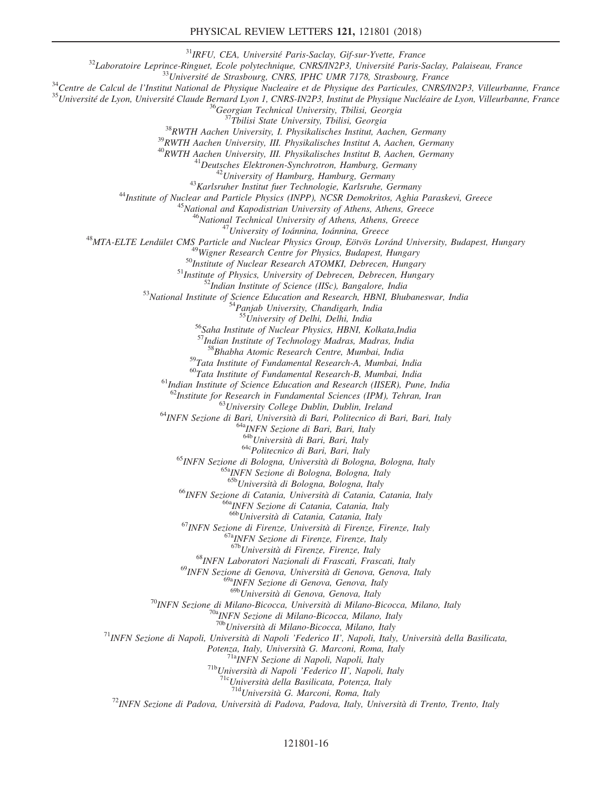## PHYSICAL REVIEW LETTERS 121, 121801 (2018)

<sup>31</sup>IRFU, CEA, Universit´e Paris-Saclay, Gif-sur-Yvette, France <sup>32</sup>Laboratoire Leprince-Ringuet, Ecole polytechnique, CNRS/IN2P3, Universit´e Paris-Saclay, Palaiseau, France <sup>33</sup>Universit´e de Strasbourg, CNRS, IPHC UMR 7178, Strasbourg, France <sup>34</sup>Centre de Calcul de l'Institut National de Physique Nucleaire et de Physique des Particules, CNRS/IN2P3, Villeurbanne, France <sup>35</sup>Universit´e de Lyon, Universit´e Claude Bernard Lyon 1, CNRS-IN2P3, Institut de Physique Nucl´eaire de Lyon, Villeurbanne, France <sup>36</sup>Georgian Technical University, Tbilisi, Georgia <sup>37</sup>Tbilisi State University, Tbilisi, Georgia <sup>38</sup>RWTH Aachen University, I. Physikalisches Institut, Aachen, Germany <sup>39</sup>RWTH Aachen University, III. Physikalisches Institut A, Aachen, Germany

 $\begin{array}{c} \begin{array}{c} \begin{array}{c} \begin{array}{c} \begin{array}{c} \begin{array}{c} \begin{array}{c} \begin{array}{c} \begin{array}{c} \begin{array}{c} \begin{array}{c} \begin{array}{c} \end{array}} \end{array} & \begin{array}{c} \begin{array}{c} \end{array} \end{array} & \begin{array}{c} \end{array} \end{array} & \begin{array}{c} \end{array} & \begin{array}{c} \end{array} & \begin{array}{c} \end{array} & \begin{array}{c} \end{array} & \end{array} & \begin{array}{c} \end{array} & \begin{array}{c} \end{array$ 

<sup>54</sup>Panjab University, Chandigarh, India<br><sup>55</sup>University of Delhi, Delhi, India<br><sup>56</sup>Saha Institute of Nuclear Physics, HBNI, Kolkata,India

<sup>57</sup>Indian Institute of Technology Madras, Madras, India

<sup>58</sup>Bhabha Atomic Research Centre, Mumbai, India

<sup>59</sup>Tata Institute of Fundamental Research-A, Mumbai, India<br><sup>60</sup>Tata Institute of Fundamental Research-B, Mumbai, India

<sup>61</sup>Indian Institute of Science Education and Research (IISER), Pune, India <sup>62</sup>Institute for Research in Fundamental Sciences (IPM), Tehran, Iran

<sup>64</sup>INFN Sezione di Bari, Università di Bari, Politecnico di Bari, Bari, Italy<br><sup>64</sup>INFN Sezione di Bari, Inversità di Bari, Politecnico di Bari, Bari, Italy<br><sup>64b</sup>Università di Bari, Bari, Italy<br><sup>64b</sup>Università di Bari, Ba

<sup>65</sup>INFN Sezione di Bologna, Università di Bologna, Bologna, Italy <sup>651</sup><sub>65a</sub> (Iniversità di Bologna, Bologna, Italy <sup>65b</sup>Università di Bologna, Bologna, Italy

<sup>66</sup>INFN Sezione di Catania, Università di Catania, Catania, Italy <sup>66a</sup>INFN Sezione di Catania, Catania, Italy <sup>66b</sup>Università di Catania, Catania, Italy

<sup>67</sup>INFN Sezione di Firenze, Università di Firenze, Firenze, Italy <sup>67a</sup>INFN Sezione di Firenze, Firenze, Italy <sup>67b</sup>Università di Firenze, Firenze, Italy

<sup>68</sup>INFN Laboratori Nazionali di Frascati, Frascati, Italy

<sup>69</sup>INFN Sezione di Genova, Università di Genova, Genova, Italy

<sup>69a</sup>INFN Sezione di Genova, Genova, Italy<br><sup>69b</sup>Università di Genova, Genova, Italy

<sup>70</sup>INFN Sezione di Milano-Bicocca, Università di Milano-Bicocca, Milano, Italy <sup>70a</sup>INFN Sezione di Milano-Bicocca, Milano, Italy <sup>70b</sup>Università di Milano-Bicocca, Milano, Italy

<sup>71</sup>INFN Sezione di Napoli, Università di Napoli 'Federico II', Napoli, Italy, Università della Basilicata,

Potenza, Italy, Università G. Marconi, Roma, Italy<br>
<sup>71a</sup>INFN Sezione di Napoli, Napoli, Italy<br>
<sup>71b</sup>Università di Napoli 'Federico II', Napoli, Italy<br>
<sup>71c</sup>Università della Basilicata, Potenza, Italy<br>
<sup>71d</sup>Università G.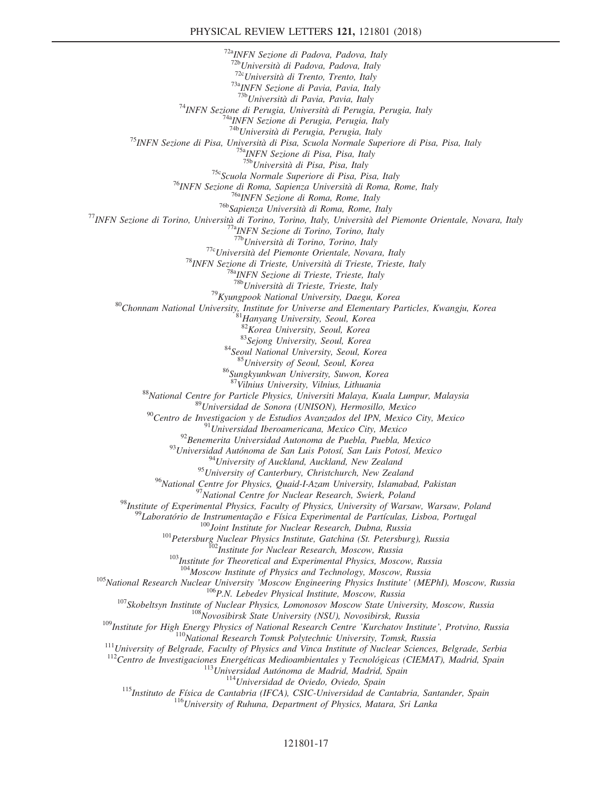<sup>72a</sup>INFN Sezione di Padova, Padova, Italy<br><sup>72b</sup>Università di Padova, Padova, Italy <sup>72c</sup>Università di Trento, Trento, Italy <sup>73a</sup>INFN Sezione di Pavia, Pavia, Italy <sup>73b</sup>Università di Pavia, Pavia, Italy <sup>74</sup>INFN Sezione di Perugia, Università di Perugia, Perugia, Italy <sup>74a</sup>INFN Sezione di Perugia, Perugia, Italy <sup>74b</sup>Università di Perugia, Perugia, Italy <sup>75</sup>INFN Sezione di Pisa, Università di Pisa, Scuola Normale Superiore di Pisa, Pisa, Italy <sup>75a</sup>INFN Sezione di Pisa, Pisa, Italy 7<sup>5b</sup>Università di Pisa, Pisa, Italy <sup>75c</sup>Scuola Normale Superiore di Pisa, Pisa, Italy<br><sup>76</sup>INFN Sezione di Roma, Sapienza Università di Roma, Rome, Italy<br><sup>76b</sup>Sapienza Università di Roma, Rome, Italy<br><sup>76</sup>NFN Sezione di Torino, Università di Torino, Torino, <sup>77c</sup>Università del Piemonte Orientale, Novara, Italy <sup>78</sup>INFN Sezione di Trieste, Università di Trieste, Trieste, Italy <sup>78b</sup>Università di Trieste, Trieste, Italy <sup>79</sup>Kyungpook National University, Daegu, Korea  ${}^{80}$ Chonnam National University, Institute for Universe and Elementary Particles, Kwangju, Korea  ${}^{81}$ Hanyang University, Seoul, Korea 81Hanyang University, Seoul, Kore <sup>83</sup>Sejong University, Seoul, Korea  $84$ Seoul National University, Seoul, Korea  $85$ University of Seoul, Seoul, Korea <sup>86</sup>Sungkyunkwan University, Suwon, Korea <sup>87</sup>Vilnius University, Vilnius, Lithuania <sup>88</sup>National Centre for Particle Physics, Universiti Malaya, Kuala Lumpur, Malaysia<br><sup>89</sup>Universidad de Sonora (UNISON), Hermosillo, Mexico<br><sup>90</sup>Centro de Investigacion y de Estudios Avanzados del IPN, Mexico City, Mexico<br><sup></sup> <sup>95</sup>University of Canterbury, Christchurch, New Zealand<br><sup>96</sup>National Centre for Physics, Quaid-I-Azam University, Islamabad, Pakistan <sup>97</sup>National Centre for Nuclear Research, Swierk, Poland<br><sup>98</sup>Institute of Experimental Physics, Faculty of Physics, University of Warsaw, Warsaw, Poland<br><sup>99</sup>Laboratório de Instrumentação e Física Experimental de Partícula <sup>105</sup>National Research Nuclear University 'Moscow Engineering Physics Institute' (MEPhI), Moscow, Russia<br><sup>105</sup>National Research Nuclear University 'Moscow Engineering Physics Institute' (MEPhI), Moscow, Russia<br><sup>107</sup>Skobel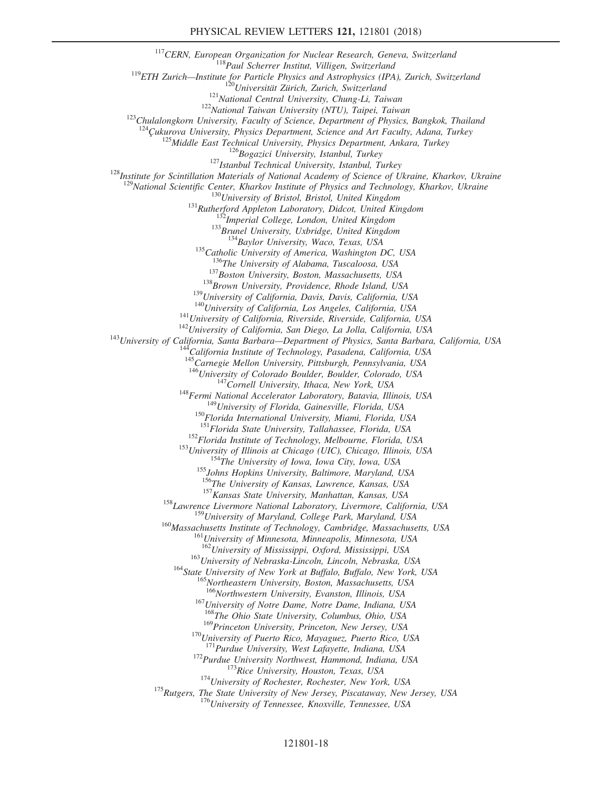<sup>117</sup>CERN, European Organization for Nuclear Research, Geneva, Switzerland<br><sup>118</sup>Paul Scherrer Institut, Villigen, Switzerland<br><sup>119</sup>ETH Zurich—Institute for Particle Physics and Astrophysics (IPA), Zurich, Switzerland<br><sup>120</sup> <sup>125</sup> Middle East Technical University, Physics Department, Ankara, Turkey<br><sup>126</sup> Bogazici University, Istanbul, Turkey<br><sup>127</sup> Istanbul Technical University, Istanbul, Turkey<br><sup>128</sup> Institute for Scintillation Materials of N  $\begin{small} \text{ }^{129}\text{National Scientific Center, Kharkov Institute of Physics and Technology, Kharkov, Ukraine \\ \text{ }^{130}\text{University of Bristol, Bristol, United Kingdom} \\ \text{ }^{131}\text{Rutherford Appleton Laboratory, Didcot, United Kingdom} \\ \text{ }^{131}\text{Bmperal College, London, United Kingdom} \\ \text{ }^{132}\text{Bmperal University, Uxbridge, United Kingdom} \\ \text{ }^{133}\text{Baylor University, Waco, Texas, USA} \\ \text{ }^{135}\text{Catholic University of America, Washington DC, USA} \\ \text{ }^{137}\text{Boston University of Alabama, Tuscaloosa, USA} \\ \text{ }^{137}\text{Boson University of Alabama$ <sup>145</sup>Carnegie Mellon University, Pittsburgh, Pennsylvania, USA<br><sup>146</sup>University of Colorado Boulder, Boulder, Colorado, USA  $^{147}$ Cornell University, Ithaca, New York, USA<br>  $^{148}$ Fermi National Accelerator Laboratory, Batavia, Illinois, USA<br>  $^{149}$ University of Florida, Gainesville, Florida, USA<br>  $^{150}$ Florida International University, Mia <sup>152</sup>Florida Institute of Technology, Melbourne, Florida, USA<br><sup>153</sup>University of Illinois at Chicago (UIC), Chicago, Illinois, USA<br><sup>154</sup>The University of Iowa, Iowa City, Iowa, USA<br><sup>155</sup>Johns Hopkins University, Baltimore <sup>157</sup>Kansas State University, Manhattan, Kansas, USA <sup>158</sup>Lawrence, Livermore National Laboratory, Livermore, California, USA <sup>159</sup>University of Maryland, College Park, Maryland, USA <sup>160</sup>Massachusetts Institute of Technology, Cambridge, Massachusetts, USA <sup>161</sup>University of Minnesota, Minneapolis, Minnesota, USA <sup>162</sup>University of Mississippi, Oxford, Mississippi, USA  $^{163}$ University of Nebraska-Lincoln, Lincoln, Nebraska, USA<br> $^{164}$ State University of New York at Buffalo, Buffalo, New York, USA<br> $^{165}$ Northeastern University, Boston, Massachusetts, USA<br> $^{166}$ Northwestern Universit <sup>167</sup>University of Notre Dame, Notre Dame, Indiana, USA  $168$ The Ohio State University, Columbus, Ohio, USA<br> $169$ Princeton University, Princeton, New Jersey, USA <sup>170</sup>University of Puerto Rico, Mayaguez, Puerto Rico, USA <sup>171</sup>Purdue University, West Lafayette, Indiana, USA <sup>172</sup>Purdue University Northwest, Hammond, Indiana, USA<br><sup>173</sup>Rice University, Houston, Texas, USA<br><sup>174</sup>University of Rochester, Rochester, New York, USA<br><sup>175</sup>Rutgers, The State University of New Jersey, Piscataway, New Je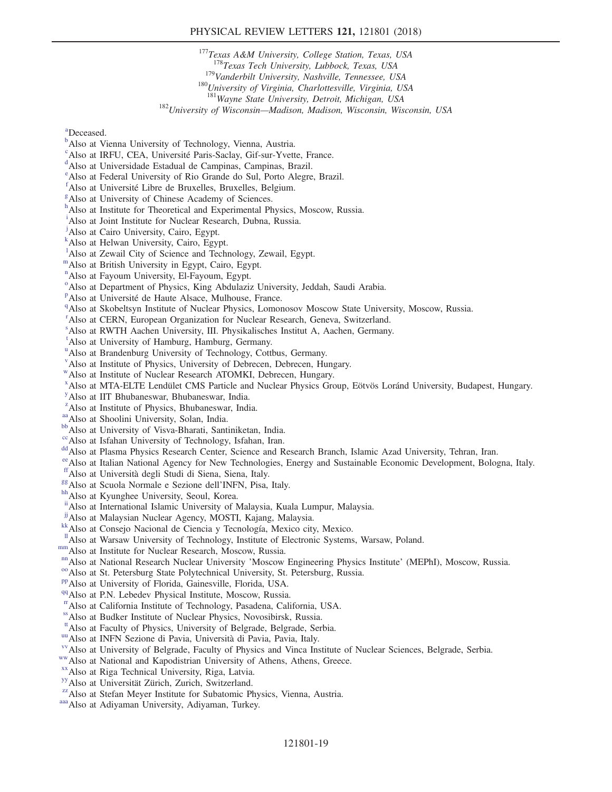## PHYSICAL REVIEW LETTERS 121, 121801 (2018)

<sup>177</sup>Texas A&M University, College Station, Texas, USA<br><sup>178</sup>Texas Tech University, Lubbock, Texas, USA <sup>179</sup>Vanderbilt University, Nashville, Tennessee, USA <sup>180</sup>University of Virginia, Charlottesville, Virginia, USA <sup>181</sup>Wayne State University, Detroit, Michigan, USA

 $182$ University of Wisconsin--Madison, Madison, Wisconsin, Wisconsin, USA

<span id="page-18-20"></span>[a](#page-9-0) Deceased.

- <span id="page-18-0"></span><sup>[b](#page-8-4)</sup>Also at Vienna University of Technology, Vienna, Austria.
- <span id="page-18-1"></span><sup>[c](#page-8-5)</sup>Also at IRFU, CEA, Université Paris-Saclay, Gif-sur-Yvette, France.
- <span id="page-18-2"></span>Also at Universidade Estadual de Campinas, Campinas, Brazil.
- <span id="page-18-3"></span>[e](#page-8-7) Also at Federal University of Rio Grande do Sul, Porto Alegre, Brazil.
- <span id="page-18-4"></span> $f$ Also at Université Libre de Bruxelles, Bruxelles, Bel[g](#page-8-9)ium.
- <span id="page-18-5"></span>Also at University of Chinese Academy of Sciences.
- <span id="page-18-6"></span>[h](#page-8-10) Also at Institute for Theoretical and Experimental Physics, Moscow, Russia.
- <span id="page-18-7"></span><sup>[i](#page-8-11)</sup>Also at Joint Institute for Nuclear Research, Dubna, Russia.
- <span id="page-18-8"></span><sup>[j](#page-8-12)</sup>Also at Cairo University, Cairo, Egypt.
- <span id="page-18-9"></span>[k](#page-8-12) Also at Helwan University, Cairo, Egypt.
- <sup>1</sup>Also at Zewail City of Science and Technology, Zewail, Egypt.
- <span id="page-18-10"></span>[m](#page-8-12)Also at British University in Egypt, Cairo, Egypt.
- n Also at Fayoum University, El-Fayoum, Egypt.
- <span id="page-18-11"></span><sup>[o](#page-8-13)</sup>Also at Department of Physics, King Abdulaziz University, Jeddah, Saudi Arabia.
- <span id="page-18-12"></span><su[p](#page-9-1)>p</sup>Also at Université de Haute Alsace, Mulhouse, France.
- <span id="page-18-13"></span><sup>q</sup>Also at Skobeltsyn Institute of Nuclear Physics, Lomonosov Moscow State University, Moscow, Russia.
- <span id="page-18-14"></span><sup>[r](#page-9-3)</sup> Also at CERN, European Organization for Nuclear Research, Geneva, Switzerland.
- <span id="page-18-15"></span>[s](#page-9-4) Also at RWTH Aachen University, III. Physikalisches Institut A, Aachen, Germany.
- <span id="page-18-16"></span>[t](#page-9-5) Also at University of Hamburg, Hamburg, Germany.
- <span id="page-18-17"></span><s[u](#page-9-6)p>u</sup>Also at Brandenburg University of Technology, Cottbus, Germany.
- <span id="page-18-18"></span>[v](#page-9-7) Also at Institute of Physics, University of Debrecen, Debrecen, Hungary.
- <span id="page-18-19"></span>[w](#page-9-0)Also at Institute of Nuclear Research ATOMKI, Debrecen, Hungary.
- x Also at MTA-ELTE Lendület CMS Particle and Nuclear Physics Group, Eötvös Loránd University, Budapest, Hungary.
- <span id="page-18-21"></span>[y](#page-9-8) Also at IIT Bhubaneswar, Bhubaneswar, India.
- <span id="page-18-22"></span><sup>[z](#page-9-9)</sup>Also at Institute of Physics, Bhubaneswar, India.
- 
- <span id="page-18-24"></span><span id="page-18-23"></span><sup>[aa](#page-9-10)</sup> Also at Shoolini University, Solan, India.<br><sup>[bb](#page-9-11)</sup> Also at University of Visva-Bharati, Santiniketan, India.<br><sup>cc</sup> Also at Isfahan University of Technology, Isfahan, Iran.
- <span id="page-18-25"></span>
- <span id="page-18-26"></span><sup>[dd](#page-10-1)</sup> Also at Plasma Physics Research Center, Science and Research Branch, Islamic Azad University, Tehran, Iran.
- <span id="page-18-27"></span>[ee](#page-10-2) Also at Italian National Agency for New Technologies, Energy and Sustainable Economic Development, Bologna, Italy.
- <span id="page-18-29"></span>
- <span id="page-18-28"></span>[ff](#page-10-3)Also at Universit`a degli Studi di Siena, Siena, Italy. [gg](#page-10-4)Also at Scuola Normale e Sezione dell'INFN, Pisa, Italy. [hh](#page-10-5)Also at Kyunghee University, Seoul, Korea.
- <span id="page-18-30"></span>
- <span id="page-18-31"></span>[ii](#page-10-6) Also at International Islamic University of Malaysia, Kuala Lumpur, Malaysia.<br>
<sup>jj</sup> Also at Malaysian Nuclear Agency, MOSTI, Kajang, Malaysia.
- <span id="page-18-32"></span>
- <span id="page-18-34"></span>
- <span id="page-18-33"></span>[kk](#page-10-7)Also at Consejo Nacional de Ciencia y Tecnología, Mexico city, Mexico.<br><sup>Il</sup>Also at Warsaw University of Technology, Institute of Electronic Systems, Warsaw, Poland.
- <span id="page-18-39"></span>
- <span id="page-18-35"></span>[mm](#page-11-1) Also at Institute for Nuclear Research, Moscow, Russia.<br>
"Also at National Research Nuclear University 'Moscow Engineering Physics Institute' (MEPhI), Moscow, Russia.<br>
<sup>[oo](#page-11-3)</sup> Also at St. Petersburg State Polytechnical Uni
- <span id="page-18-36"></span>
- <span id="page-18-38"></span><span id="page-18-37"></span>
- 
- <span id="page-18-40"></span>[rr](#page-11-5)Also at California Institute of Technology, Pasadena, California, USA.
- <span id="page-18-42"></span>
- <span id="page-18-41"></span><sup>[ss](#page-11-6)</sup>Also at Budker Institute of Nuclear Physics, Novosibirsk, Russia.<br><sup>tt</sup>Also at Faculty of Physics, University of Belgrade, Belgrade, Serbia.
- <span id="page-18-44"></span>
- <span id="page-18-43"></span><sup>[uu](#page-11-8)</sup> Also at INFN Sezione di Pavia, Università di Pavia, Pavia, Italy.<br><sup>[vv](#page-11-9)</sup> Also at University of Belgrade, Faculty of Physics and Vinca Institute of Nuclear Sciences, Belgrade, Serbia.<br><sup>[ww](#page-11-10)</sup> Also at National and Kapodistri
- <span id="page-18-46"></span><span id="page-18-45"></span>
- <span id="page-18-47"></span>
- 
- <span id="page-18-49"></span><span id="page-18-48"></span><sup>[zz](#page-12-0)</sup>Also at Stefan Meyer Institute for Subatomic Physics, Vienna, Austria. [aaa](#page-12-1)<sub>Also</sub> at Adiyaman University, Adiyaman, Turkey.
-